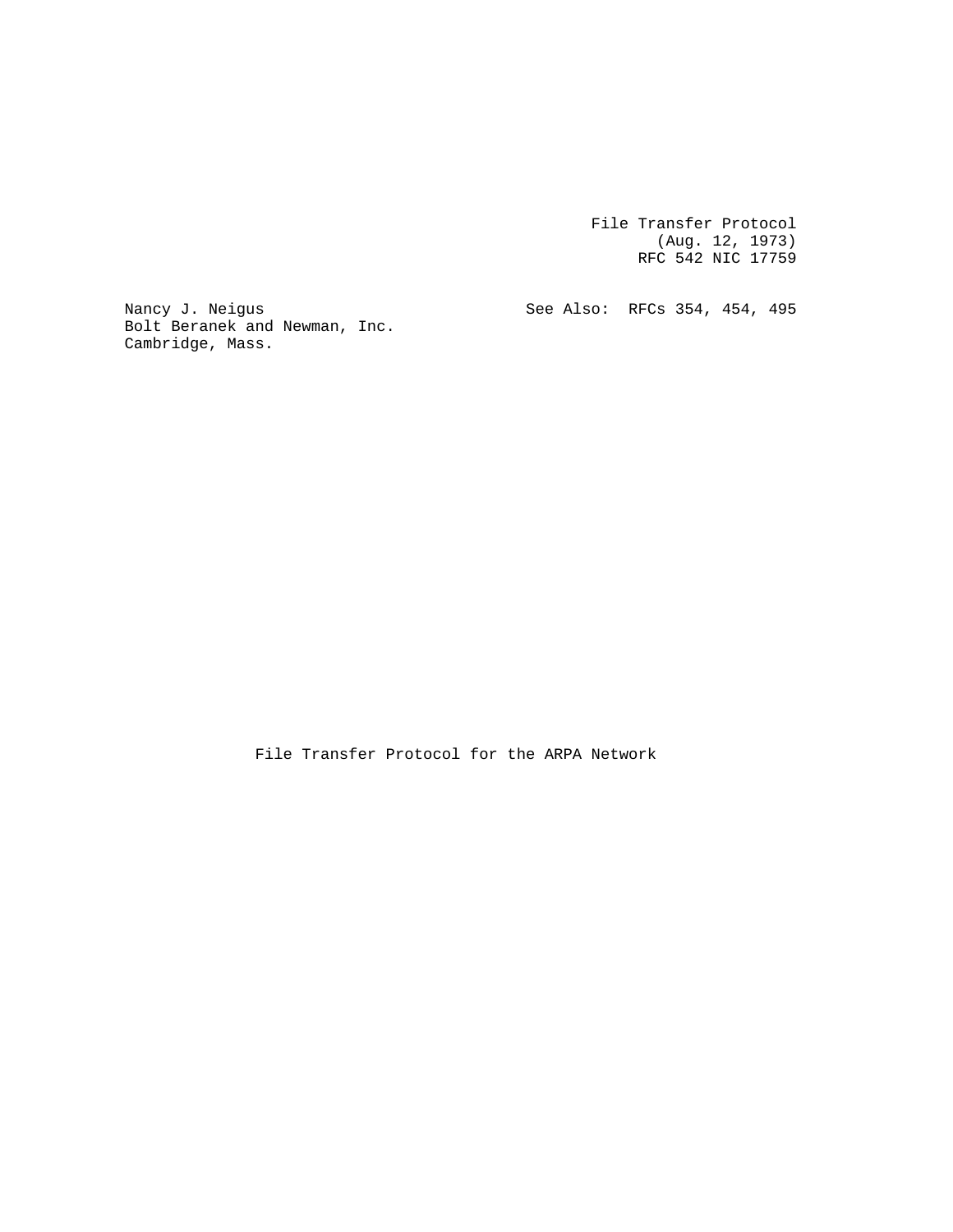Nancy J. Neigus See Also: RFCs 354, 454, 495 Bolt Beranek and Newman, Inc. Cambridge, Mass.

File Transfer Protocol for the ARPA Network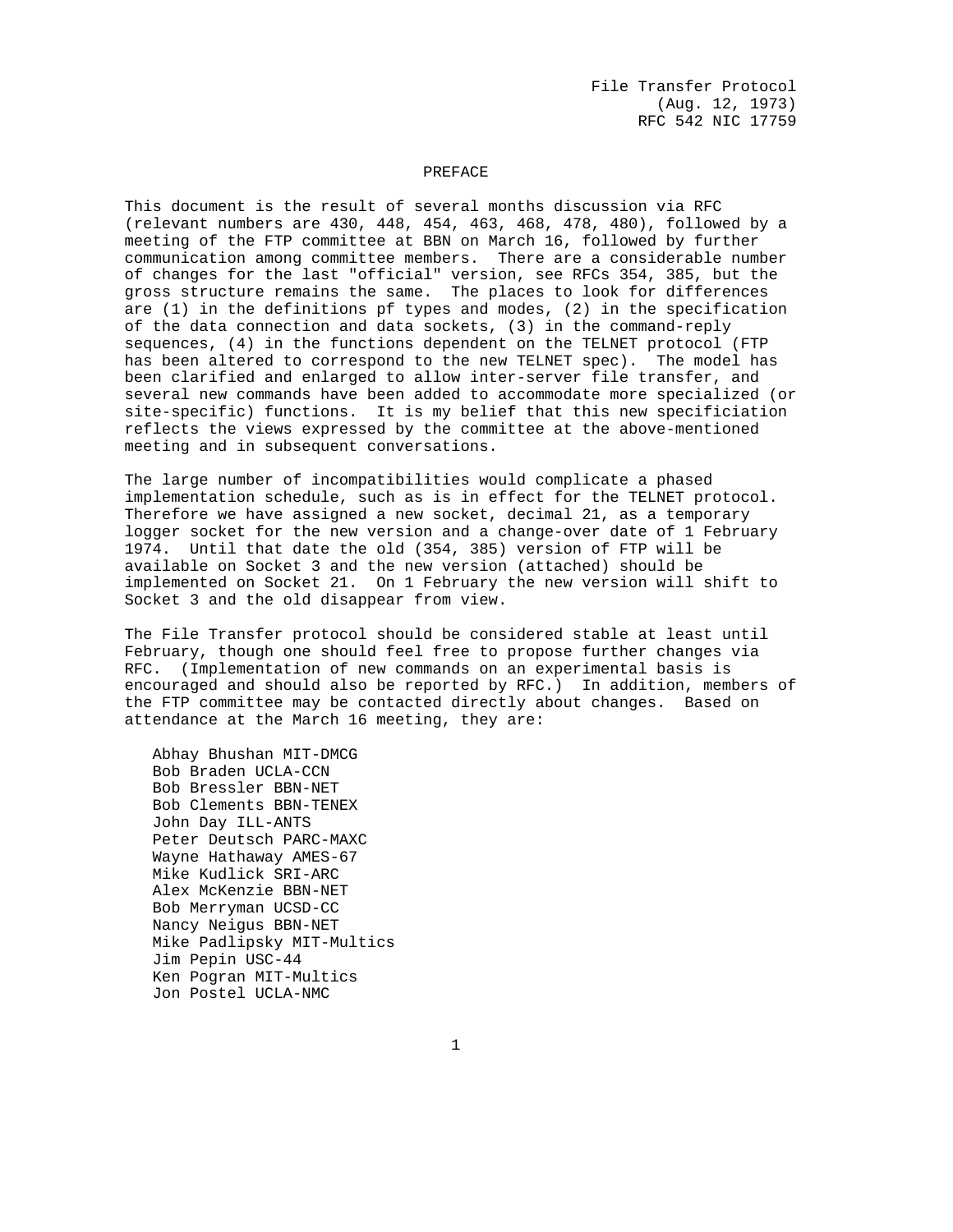## PREFACE

This document is the result of several months discussion via RFC (relevant numbers are 430, 448, 454, 463, 468, 478, 480), followed by a meeting of the FTP committee at BBN on March 16, followed by further communication among committee members. There are a considerable number of changes for the last "official" version, see RFCs 354, 385, but the gross structure remains the same. The places to look for differences are (1) in the definitions pf types and modes, (2) in the specification of the data connection and data sockets, (3) in the command-reply sequences, (4) in the functions dependent on the TELNET protocol (FTP has been altered to correspond to the new TELNET spec). The model has been clarified and enlarged to allow inter-server file transfer, and several new commands have been added to accommodate more specialized (or site-specific) functions. It is my belief that this new specificiation reflects the views expressed by the committee at the above-mentioned meeting and in subsequent conversations.

The large number of incompatibilities would complicate a phased implementation schedule, such as is in effect for the TELNET protocol. Therefore we have assigned a new socket, decimal 21, as a temporary logger socket for the new version and a change-over date of 1 February 1974. Until that date the old (354, 385) version of FTP will be available on Socket 3 and the new version (attached) should be implemented on Socket 21. On 1 February the new version will shift to Socket 3 and the old disappear from view.

The File Transfer protocol should be considered stable at least until February, though one should feel free to propose further changes via RFC. (Implementation of new commands on an experimental basis is encouraged and should also be reported by RFC.) In addition, members of the FTP committee may be contacted directly about changes. Based on attendance at the March 16 meeting, they are:

 Abhay Bhushan MIT-DMCG Bob Braden UCLA-CCN Bob Bressler BBN-NET Bob Clements BBN-TENEX John Day ILL-ANTS Peter Deutsch PARC-MAXC Wayne Hathaway AMES-67 Mike Kudlick SRI-ARC Alex McKenzie BBN-NET Bob Merryman UCSD-CC Nancy Neigus BBN-NET Mike Padlipsky MIT-Multics Jim Pepin USC-44 Ken Pogran MIT-Multics Jon Postel UCLA-NMC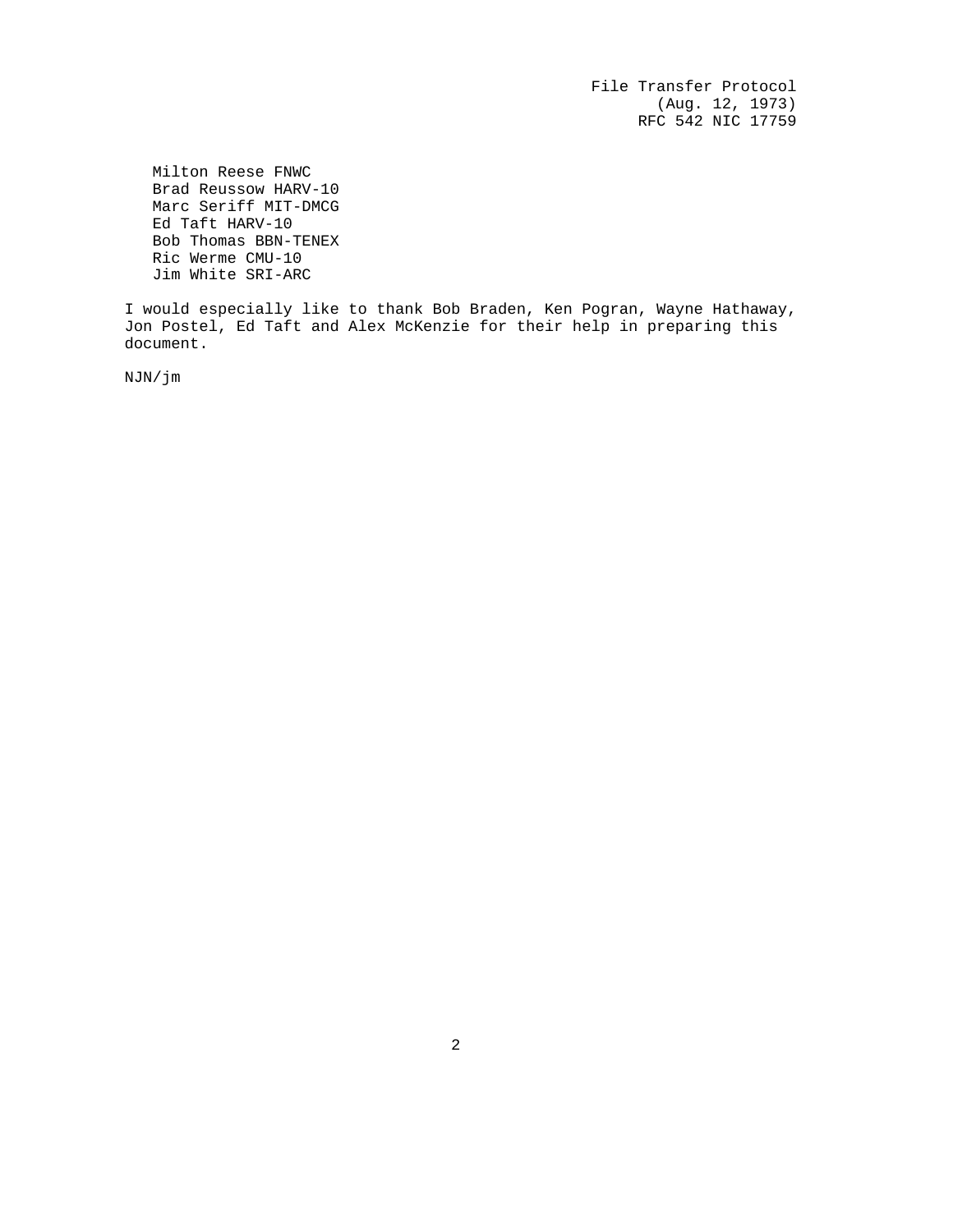Milton Reese FNWC Brad Reussow HARV-10 Marc Seriff MIT-DMCG Ed Taft HARV-10 Bob Thomas BBN-TENEX Ric Werme CMU-10 Jim White SRI-ARC

I would especially like to thank Bob Braden, Ken Pogran, Wayne Hathaway, Jon Postel, Ed Taft and Alex McKenzie for their help in preparing this document.

NJN/jm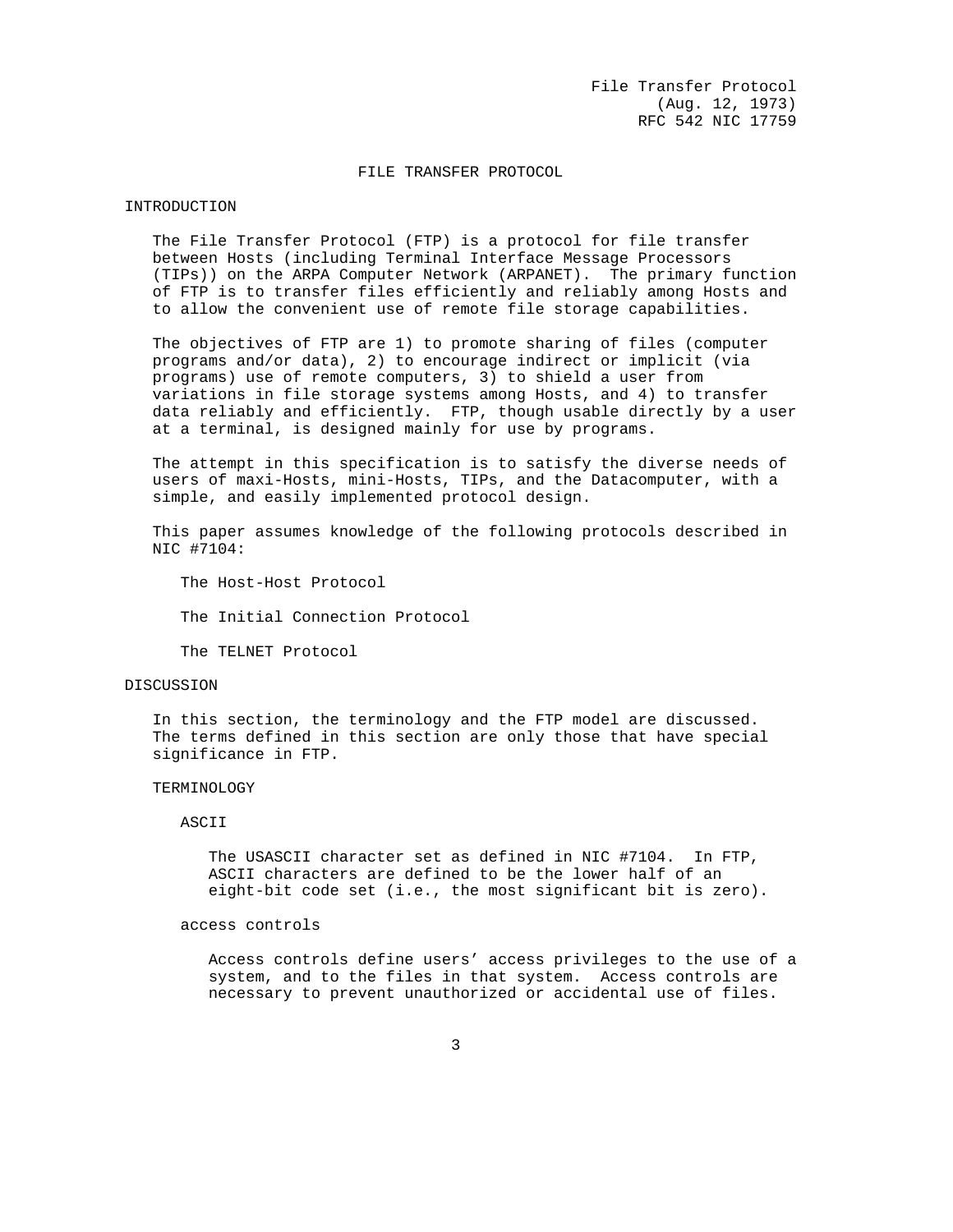## FILE TRANSFER PROTOCOL

## INTRODUCTION

 The File Transfer Protocol (FTP) is a protocol for file transfer between Hosts (including Terminal Interface Message Processors (TIPs)) on the ARPA Computer Network (ARPANET). The primary function of FTP is to transfer files efficiently and reliably among Hosts and to allow the convenient use of remote file storage capabilities.

 The objectives of FTP are 1) to promote sharing of files (computer programs and/or data), 2) to encourage indirect or implicit (via programs) use of remote computers, 3) to shield a user from variations in file storage systems among Hosts, and 4) to transfer data reliably and efficiently. FTP, though usable directly by a user at a terminal, is designed mainly for use by programs.

 The attempt in this specification is to satisfy the diverse needs of users of maxi-Hosts, mini-Hosts, TIPs, and the Datacomputer, with a simple, and easily implemented protocol design.

 This paper assumes knowledge of the following protocols described in NIC #7104:

 The Host-Host Protocol The Initial Connection Protocol The TELNET Protocol

## DISCUSSION

 In this section, the terminology and the FTP model are discussed. The terms defined in this section are only those that have special significance in FTP.

#### TERMINOLOGY

### ASCII

 The USASCII character set as defined in NIC #7104. In FTP, ASCII characters are defined to be the lower half of an eight-bit code set (i.e., the most significant bit is zero).

### access controls

 Access controls define users' access privileges to the use of a system, and to the files in that system. Access controls are necessary to prevent unauthorized or accidental use of files.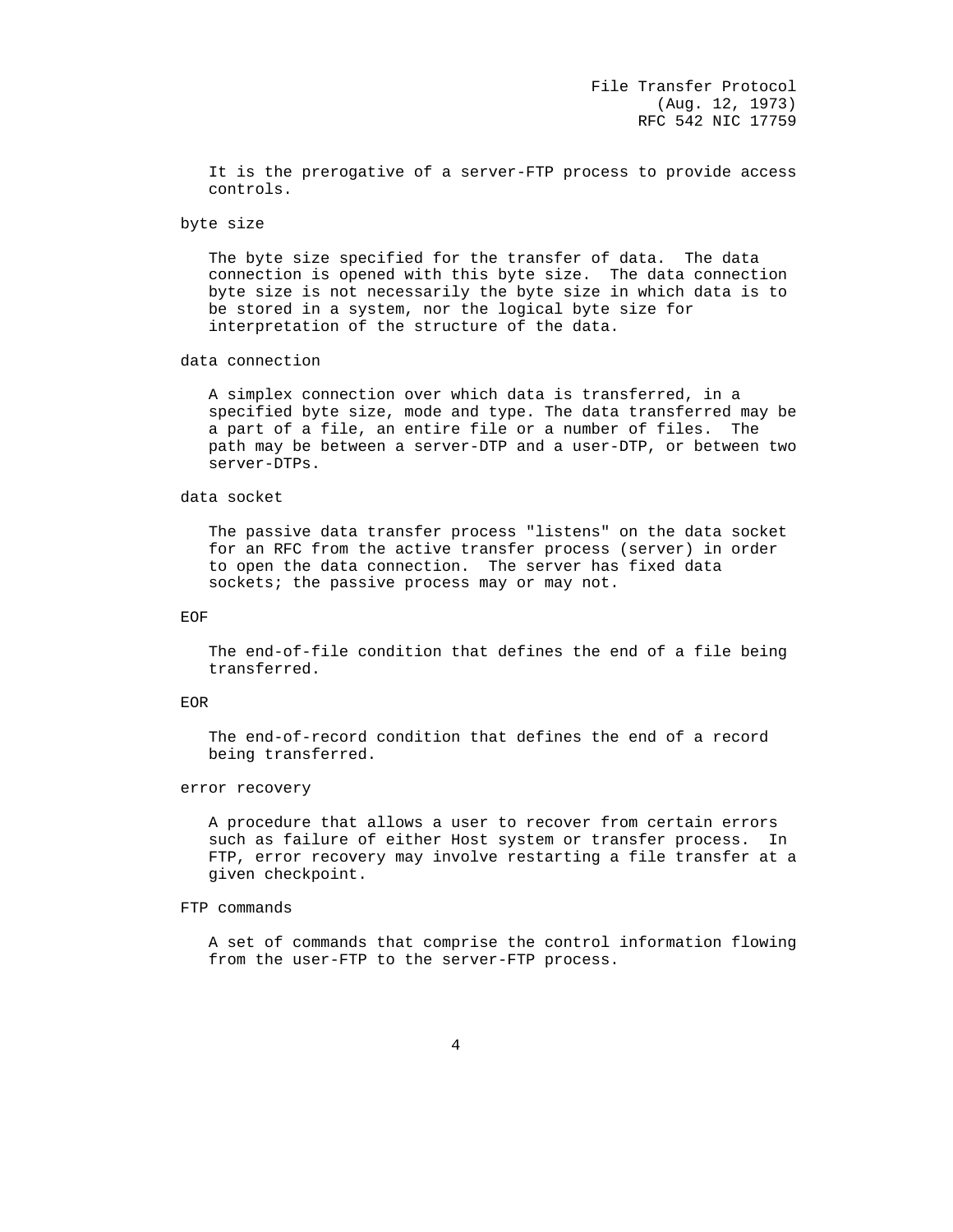It is the prerogative of a server-FTP process to provide access controls.

## byte size

 The byte size specified for the transfer of data. The data connection is opened with this byte size. The data connection byte size is not necessarily the byte size in which data is to be stored in a system, nor the logical byte size for interpretation of the structure of the data.

#### data connection

 A simplex connection over which data is transferred, in a specified byte size, mode and type. The data transferred may be a part of a file, an entire file or a number of files. The path may be between a server-DTP and a user-DTP, or between two server-DTPs.

### data socket

 The passive data transfer process "listens" on the data socket for an RFC from the active transfer process (server) in order to open the data connection. The server has fixed data sockets; the passive process may or may not.

### EOF

 The end-of-file condition that defines the end of a file being transferred.

#### EOR

 The end-of-record condition that defines the end of a record being transferred.

#### error recovery

 A procedure that allows a user to recover from certain errors such as failure of either Host system or transfer process. In FTP, error recovery may involve restarting a file transfer at a given checkpoint.

#### FTP commands

 A set of commands that comprise the control information flowing from the user-FTP to the server-FTP process.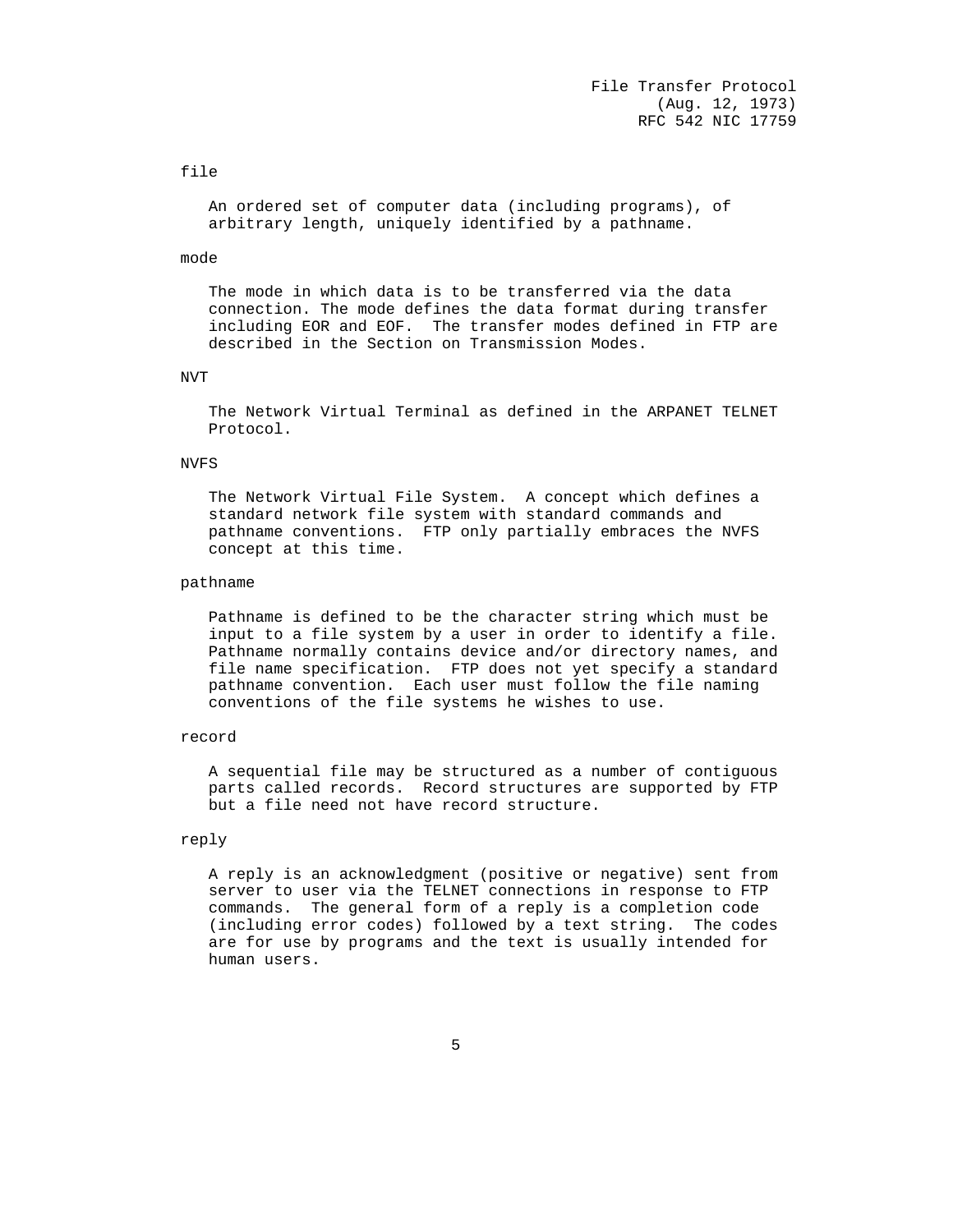## file

 An ordered set of computer data (including programs), of arbitrary length, uniquely identified by a pathname.

#### mode

 The mode in which data is to be transferred via the data connection. The mode defines the data format during transfer including EOR and EOF. The transfer modes defined in FTP are described in the Section on Transmission Modes.

#### NVT

 The Network Virtual Terminal as defined in the ARPANET TELNET Protocol.

### NVFS

 The Network Virtual File System. A concept which defines a standard network file system with standard commands and pathname conventions. FTP only partially embraces the NVFS concept at this time.

## pathname

 Pathname is defined to be the character string which must be input to a file system by a user in order to identify a file. Pathname normally contains device and/or directory names, and file name specification. FTP does not yet specify a standard pathname convention. Each user must follow the file naming conventions of the file systems he wishes to use.

## record

 A sequential file may be structured as a number of contiguous parts called records. Record structures are supported by FTP but a file need not have record structure.

### reply

 A reply is an acknowledgment (positive or negative) sent from server to user via the TELNET connections in response to FTP commands. The general form of a reply is a completion code (including error codes) followed by a text string. The codes are for use by programs and the text is usually intended for human users.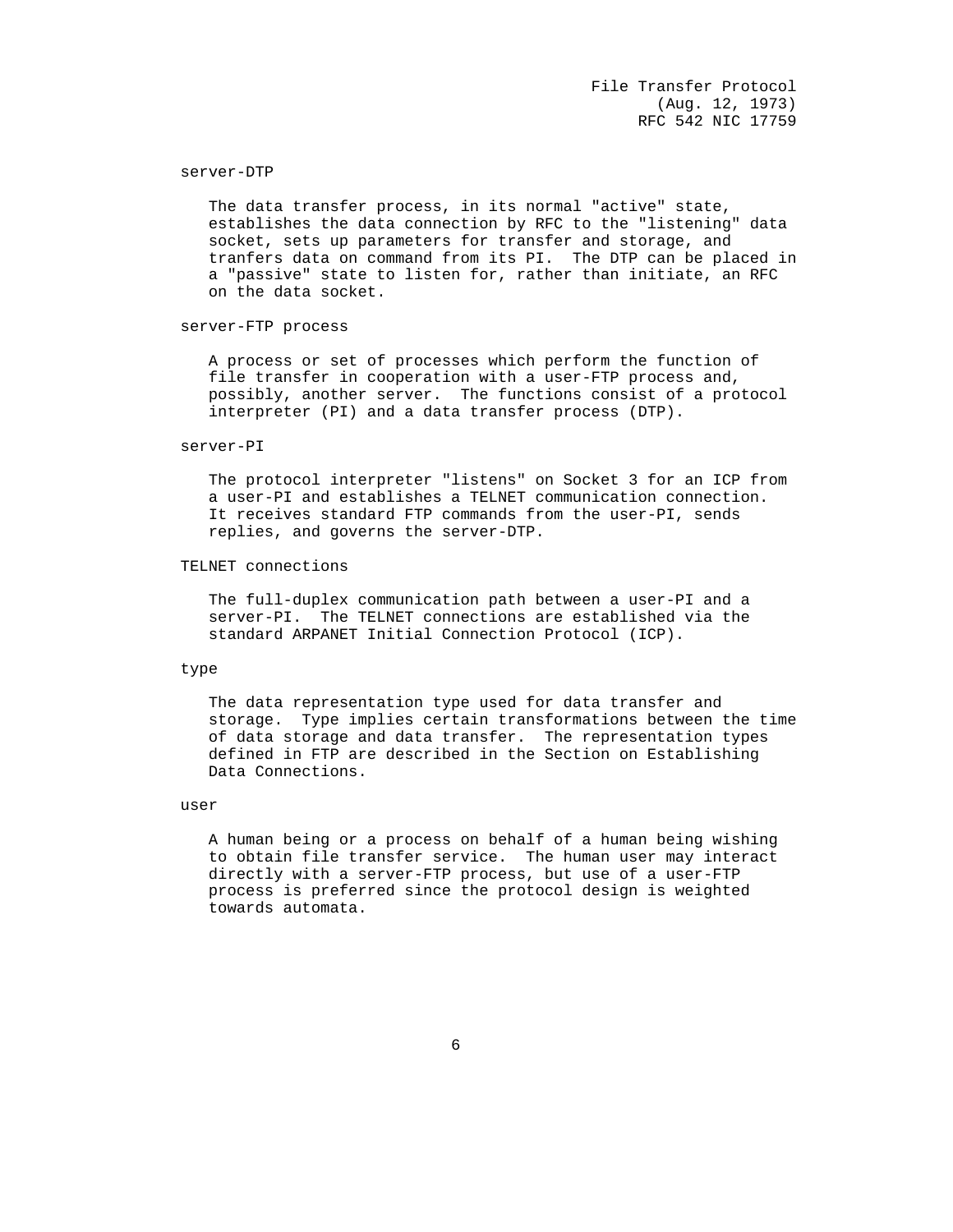#### server-DTP

 The data transfer process, in its normal "active" state, establishes the data connection by RFC to the "listening" data socket, sets up parameters for transfer and storage, and tranfers data on command from its PI. The DTP can be placed in a "passive" state to listen for, rather than initiate, an RFC on the data socket.

## server-FTP process

 A process or set of processes which perform the function of file transfer in cooperation with a user-FTP process and, possibly, another server. The functions consist of a protocol interpreter (PI) and a data transfer process (DTP).

#### server-PI

 The protocol interpreter "listens" on Socket 3 for an ICP from a user-PI and establishes a TELNET communication connection. It receives standard FTP commands from the user-PI, sends replies, and governs the server-DTP.

## TELNET connections

 The full-duplex communication path between a user-PI and a server-PI. The TELNET connections are established via the standard ARPANET Initial Connection Protocol (ICP).

### type

 The data representation type used for data transfer and storage. Type implies certain transformations between the time of data storage and data transfer. The representation types defined in FTP are described in the Section on Establishing Data Connections.

#### user

 A human being or a process on behalf of a human being wishing to obtain file transfer service. The human user may interact directly with a server-FTP process, but use of a user-FTP process is preferred since the protocol design is weighted towards automata.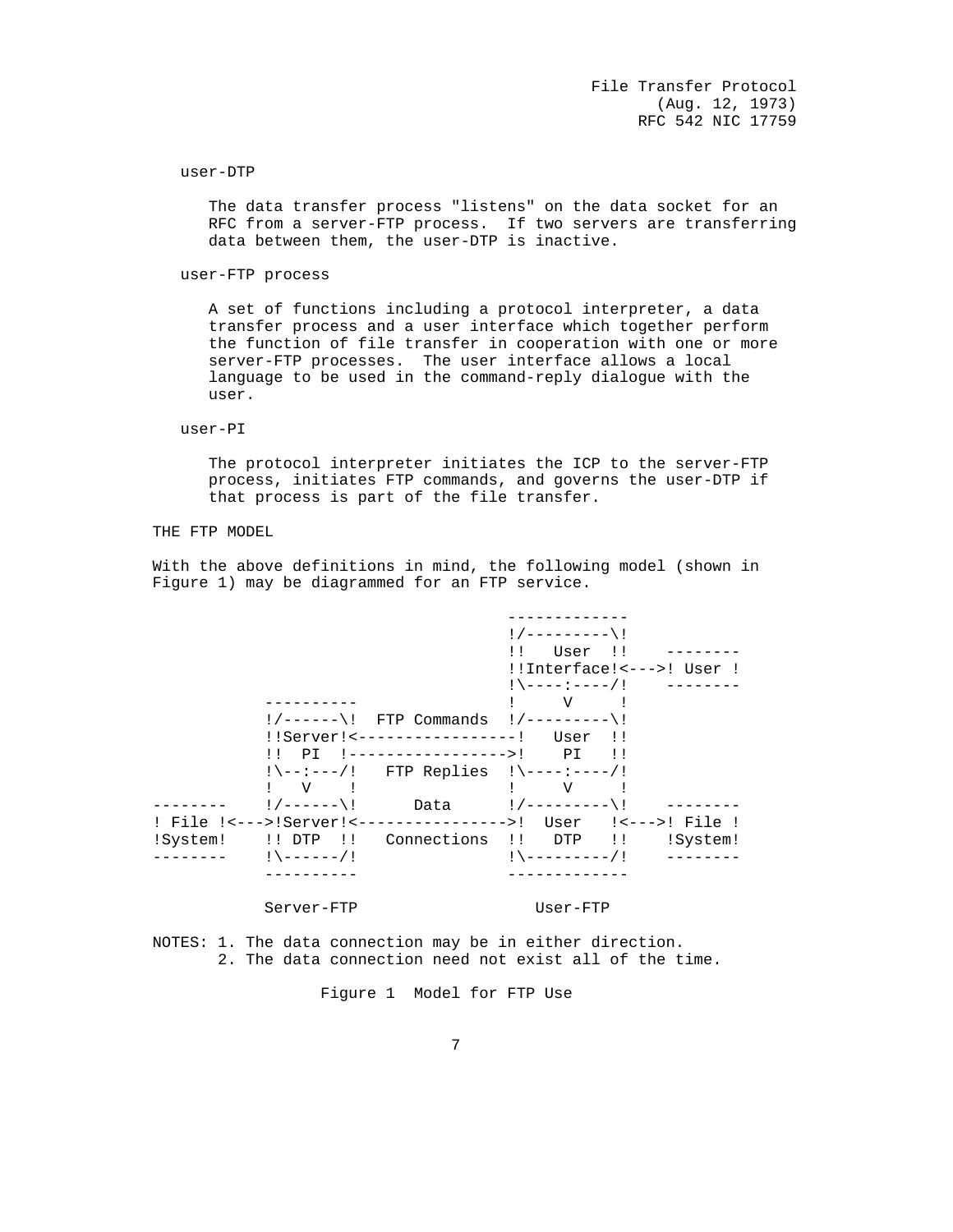user-DTP

 The data transfer process "listens" on the data socket for an RFC from a server-FTP process. If two servers are transferring data between them, the user-DTP is inactive.

### user-FTP process

 A set of functions including a protocol interpreter, a data transfer process and a user interface which together perform the function of file transfer in cooperation with one or more server-FTP processes. The user interface allows a local language to be used in the command-reply dialogue with the user.

#### user-PI

 The protocol interpreter initiates the ICP to the server-FTP process, initiates FTP commands, and governs the user-DTP if that process is part of the file transfer.

THE FTP MODEL

 With the above definitions in mind, the following model (shown in Figure 1) may be diagrammed for an FTP service.

|                                                     |                                                         | ! / - - - - - - - - \ !                                                                                                                                                                                                                                                                                                                                                                       |
|-----------------------------------------------------|---------------------------------------------------------|-----------------------------------------------------------------------------------------------------------------------------------------------------------------------------------------------------------------------------------------------------------------------------------------------------------------------------------------------------------------------------------------------|
|                                                     |                                                         | !! User !!                                                                                                                                                                                                                                                                                                                                                                                    |
|                                                     |                                                         | !!Interface! <--->! User !                                                                                                                                                                                                                                                                                                                                                                    |
|                                                     |                                                         | !\----:----/!                                                                                                                                                                                                                                                                                                                                                                                 |
|                                                     |                                                         | $\mathbf{V}$ i                                                                                                                                                                                                                                                                                                                                                                                |
|                                                     | $! /----- \$ ! FTP Commands $!/----- \$ !               |                                                                                                                                                                                                                                                                                                                                                                                               |
|                                                     | !!Server!<------------------! User !!                   |                                                                                                                                                                                                                                                                                                                                                                                               |
|                                                     | !! PI !----------------->! PI !!                        |                                                                                                                                                                                                                                                                                                                                                                                               |
|                                                     | $! \ - - : -- - / !$ FTP Replies $! \ - - - : -- - / !$ |                                                                                                                                                                                                                                                                                                                                                                                               |
| $\mathbf{i}$ $\mathbf{A}$ $\mathbf{A}$ $\mathbf{A}$ |                                                         | $\mathbf{V}$ i                                                                                                                                                                                                                                                                                                                                                                                |
|                                                     | $!/-----\$ ! Data $!/------\$ !                         |                                                                                                                                                                                                                                                                                                                                                                                               |
|                                                     |                                                         | ! File !<--->!Server!<---------------->! User  !<--->! File !                                                                                                                                                                                                                                                                                                                                 |
|                                                     |                                                         | !System! !! DTP !! Connections !! DTP !! !System!                                                                                                                                                                                                                                                                                                                                             |
| $! \ - - - - - - / \ !$                             |                                                         | $\frac{1}{2}$ $\left\{ \frac{1}{2} - \frac{1}{2} - \frac{1}{2} - \frac{1}{2} - \frac{1}{2} + \frac{1}{2} \frac{1}{2} + \frac{1}{2} \frac{1}{2} + \frac{1}{2} \frac{1}{2} + \frac{1}{2} \frac{1}{2} + \frac{1}{2} \frac{1}{2} + \frac{1}{2} \frac{1}{2} + \frac{1}{2} \frac{1}{2} + \frac{1}{2} \frac{1}{2} + \frac{1}{2} \frac{1}{2} + \frac{1}{2} \frac{1}{2} + \frac{1}{2} \frac{1}{2} + \$ |
|                                                     |                                                         |                                                                                                                                                                                                                                                                                                                                                                                               |

Server-FTP User-FTP

 NOTES: 1. The data connection may be in either direction. 2. The data connection need not exist all of the time.

Figure 1 Model for FTP Use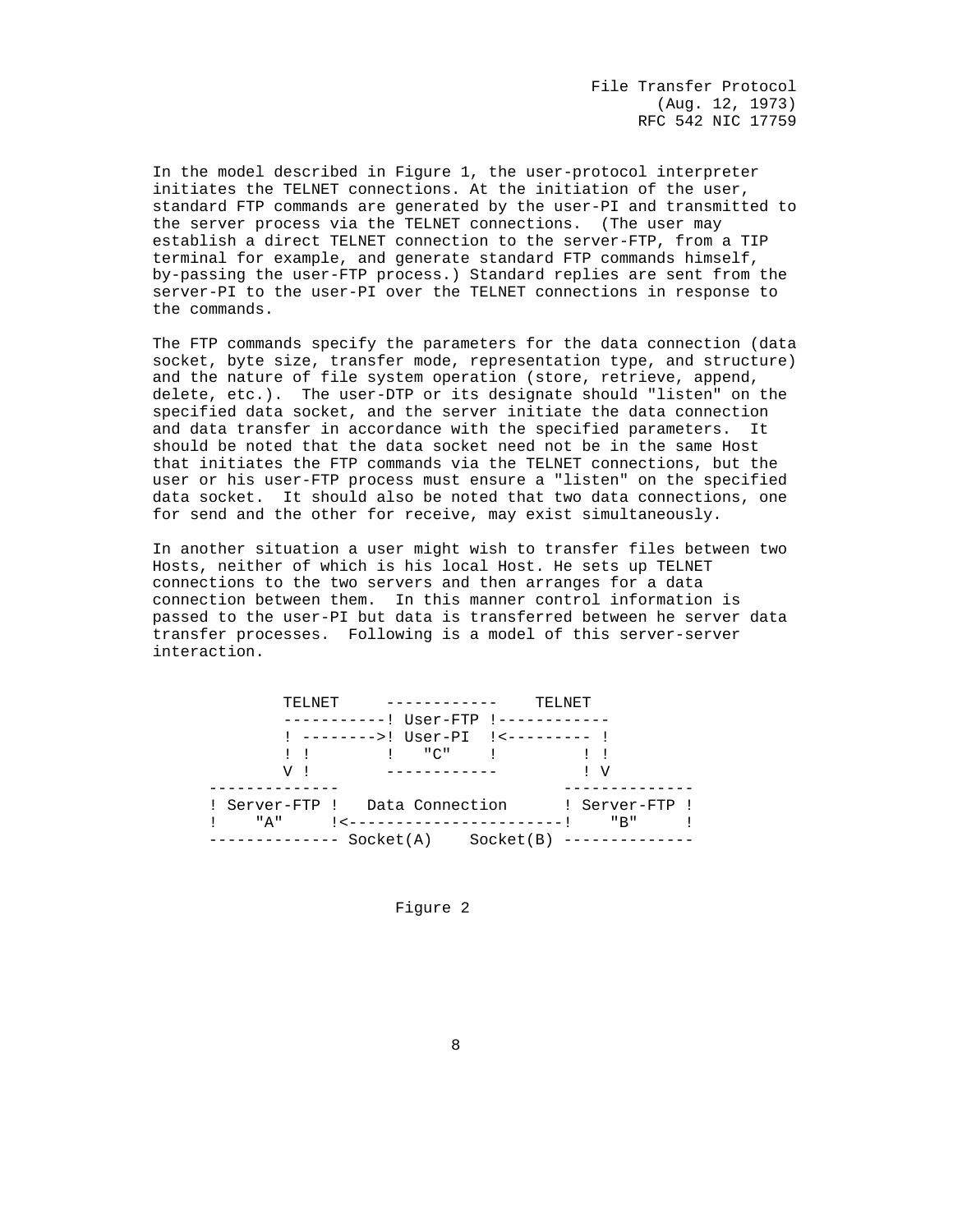In the model described in Figure 1, the user-protocol interpreter initiates the TELNET connections. At the initiation of the user, standard FTP commands are generated by the user-PI and transmitted to the server process via the TELNET connections. (The user may establish a direct TELNET connection to the server-FTP, from a TIP terminal for example, and generate standard FTP commands himself, by-passing the user-FTP process.) Standard replies are sent from the server-PI to the user-PI over the TELNET connections in response to the commands.

 The FTP commands specify the parameters for the data connection (data socket, byte size, transfer mode, representation type, and structure) and the nature of file system operation (store, retrieve, append, delete, etc.). The user-DTP or its designate should "listen" on the specified data socket, and the server initiate the data connection and data transfer in accordance with the specified parameters. It should be noted that the data socket need not be in the same Host that initiates the FTP commands via the TELNET connections, but the user or his user-FTP process must ensure a "listen" on the specified data socket. It should also be noted that two data connections, one for send and the other for receive, may exist simultaneously.

 In another situation a user might wish to transfer files between two Hosts, neither of which is his local Host. He sets up TELNET connections to the two servers and then arranges for a data connection between them. In this manner control information is passed to the user-PI but data is transferred between he server data transfer processes. Following is a model of this server-server interaction.

| TEL NET | _______________ |                                      | TEL NET                                       |  |
|---------|-----------------|--------------------------------------|-----------------------------------------------|--|
|         |                 | ------------! User-FTP !------------ |                                               |  |
|         |                 | ! -------->! User-PI !<--------- !   |                                               |  |
|         |                 |                                      | $\blacksquare$                                |  |
| V!      |                 |                                      | ! V                                           |  |
|         |                 |                                      |                                               |  |
|         |                 |                                      | ! Server-FTP ! Data Connection ! Server-FTP ! |  |
| " д "   |                 |                                      | "B"                                           |  |
|         |                 |                                      |                                               |  |

Figure 2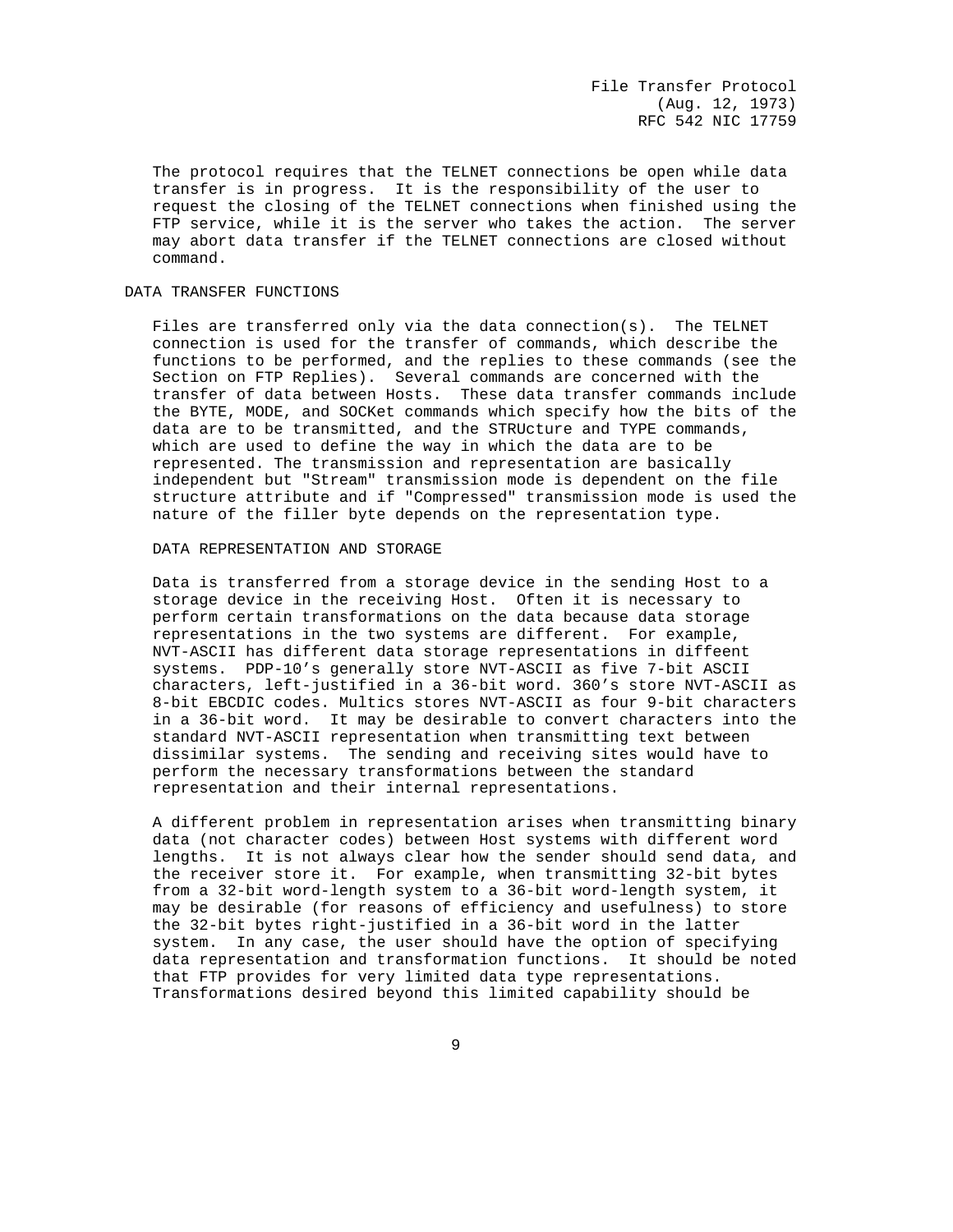The protocol requires that the TELNET connections be open while data transfer is in progress. It is the responsibility of the user to request the closing of the TELNET connections when finished using the FTP service, while it is the server who takes the action. The server may abort data transfer if the TELNET connections are closed without command.

## DATA TRANSFER FUNCTIONS

 Files are transferred only via the data connection(s). The TELNET connection is used for the transfer of commands, which describe the functions to be performed, and the replies to these commands (see the Section on FTP Replies). Several commands are concerned with the transfer of data between Hosts. These data transfer commands include the BYTE, MODE, and SOCKet commands which specify how the bits of the data are to be transmitted, and the STRUcture and TYPE commands, which are used to define the way in which the data are to be represented. The transmission and representation are basically independent but "Stream" transmission mode is dependent on the file structure attribute and if "Compressed" transmission mode is used the nature of the filler byte depends on the representation type.

### DATA REPRESENTATION AND STORAGE

 Data is transferred from a storage device in the sending Host to a storage device in the receiving Host. Often it is necessary to perform certain transformations on the data because data storage representations in the two systems are different. For example, NVT-ASCII has different data storage representations in diffeent systems. PDP-10's generally store NVT-ASCII as five 7-bit ASCII characters, left-justified in a 36-bit word. 360's store NVT-ASCII as 8-bit EBCDIC codes. Multics stores NVT-ASCII as four 9-bit characters in a 36-bit word. It may be desirable to convert characters into the standard NVT-ASCII representation when transmitting text between dissimilar systems. The sending and receiving sites would have to perform the necessary transformations between the standard representation and their internal representations.

 A different problem in representation arises when transmitting binary data (not character codes) between Host systems with different word lengths. It is not always clear how the sender should send data, and the receiver store it. For example, when transmitting 32-bit bytes from a 32-bit word-length system to a 36-bit word-length system, it may be desirable (for reasons of efficiency and usefulness) to store the 32-bit bytes right-justified in a 36-bit word in the latter system. In any case, the user should have the option of specifying data representation and transformation functions. It should be noted that FTP provides for very limited data type representations. Transformations desired beyond this limited capability should be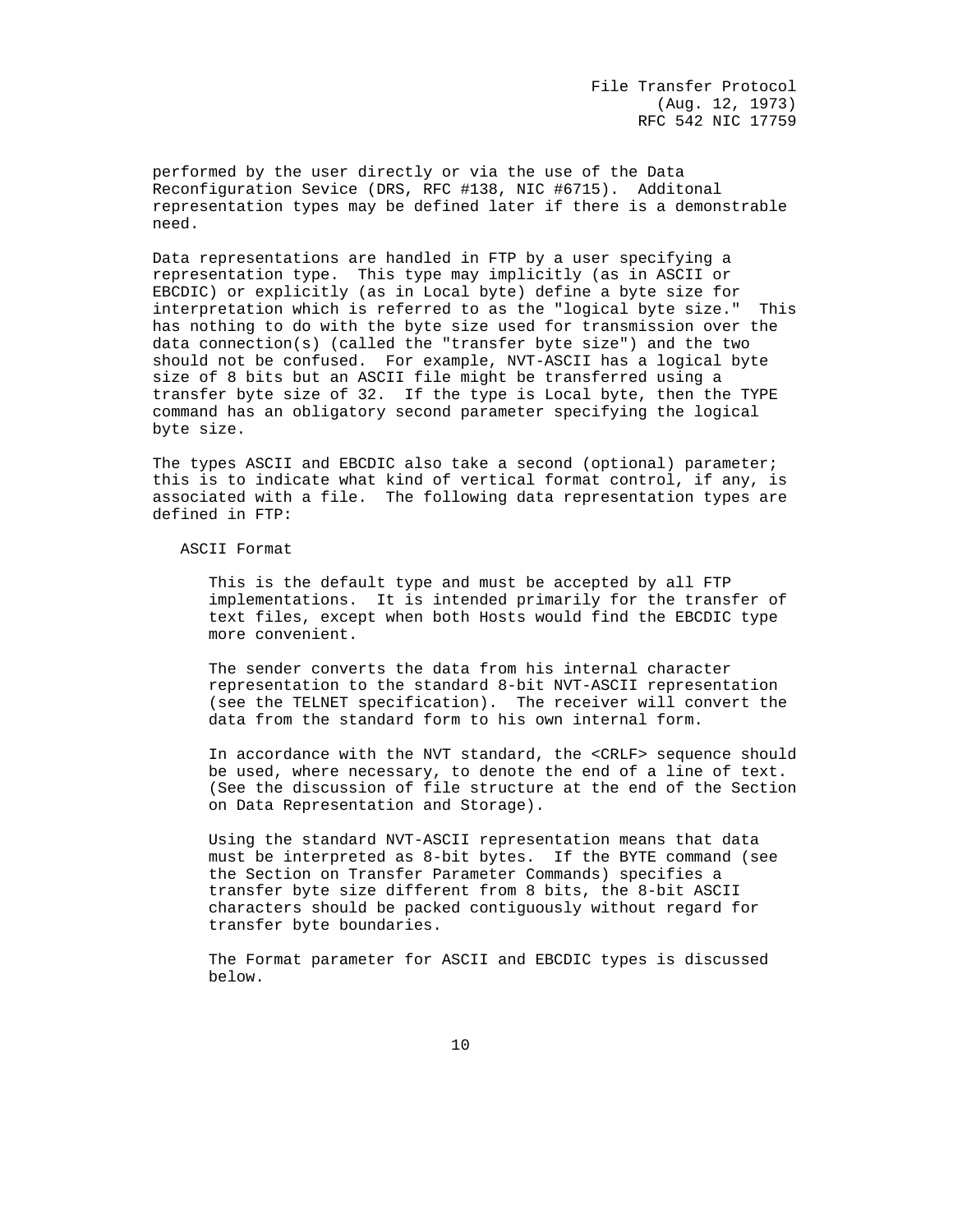performed by the user directly or via the use of the Data Reconfiguration Sevice (DRS, RFC #138, NIC #6715). Additonal representation types may be defined later if there is a demonstrable need.

 Data representations are handled in FTP by a user specifying a representation type. This type may implicitly (as in ASCII or EBCDIC) or explicitly (as in Local byte) define a byte size for interpretation which is referred to as the "logical byte size." This has nothing to do with the byte size used for transmission over the data connection(s) (called the "transfer byte size") and the two should not be confused. For example, NVT-ASCII has a logical byte size of 8 bits but an ASCII file might be transferred using a transfer byte size of 32. If the type is Local byte, then the TYPE command has an obligatory second parameter specifying the logical byte size.

 The types ASCII and EBCDIC also take a second (optional) parameter; this is to indicate what kind of vertical format control, if any, is associated with a file. The following data representation types are defined in FTP:

ASCII Format

 This is the default type and must be accepted by all FTP implementations. It is intended primarily for the transfer of text files, except when both Hosts would find the EBCDIC type more convenient.

 The sender converts the data from his internal character representation to the standard 8-bit NVT-ASCII representation (see the TELNET specification). The receiver will convert the data from the standard form to his own internal form.

 In accordance with the NVT standard, the <CRLF> sequence should be used, where necessary, to denote the end of a line of text. (See the discussion of file structure at the end of the Section on Data Representation and Storage).

 Using the standard NVT-ASCII representation means that data must be interpreted as 8-bit bytes. If the BYTE command (see the Section on Transfer Parameter Commands) specifies a transfer byte size different from 8 bits, the 8-bit ASCII characters should be packed contiguously without regard for transfer byte boundaries.

 The Format parameter for ASCII and EBCDIC types is discussed below.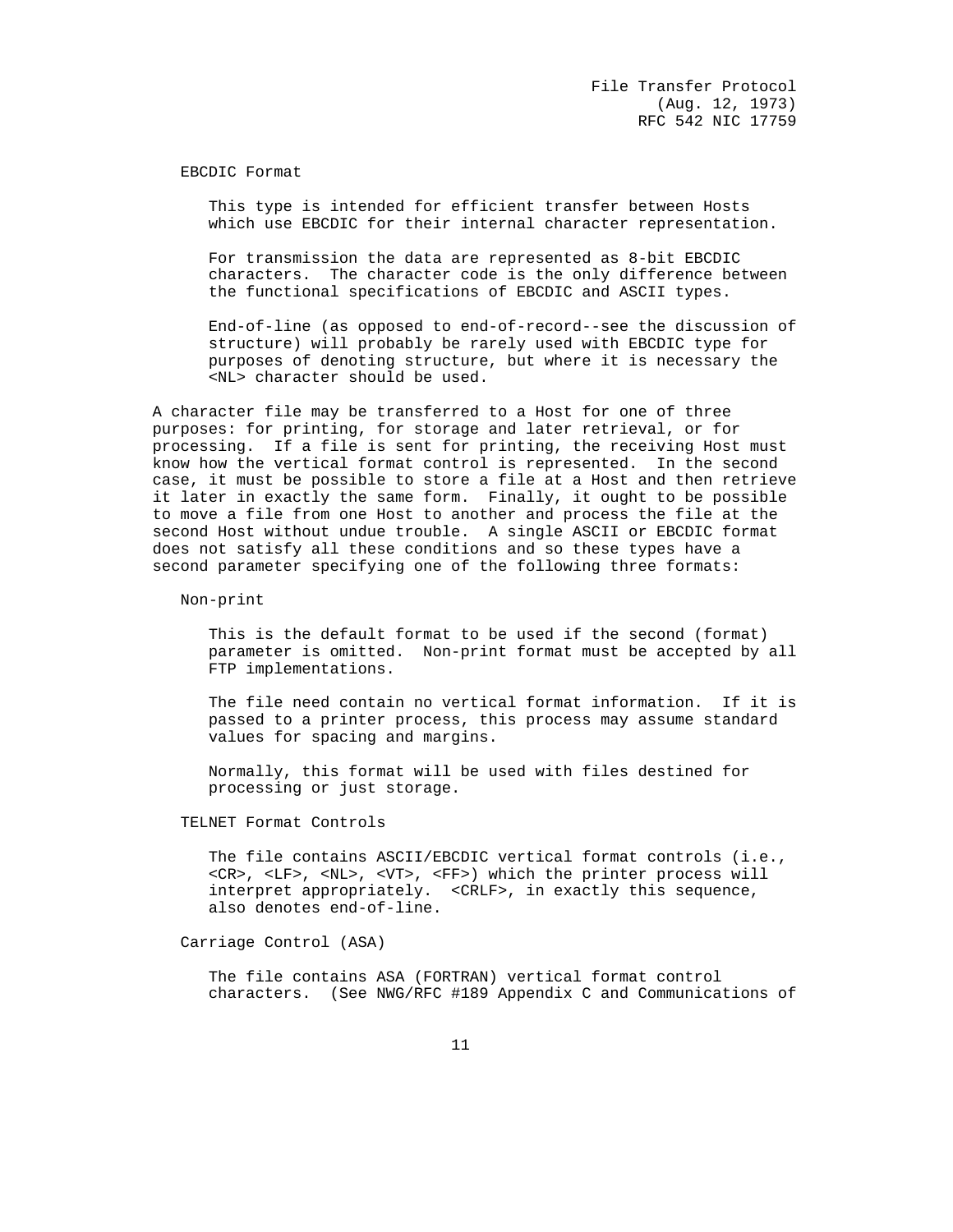EBCDIC Format

 This type is intended for efficient transfer between Hosts which use EBCDIC for their internal character representation.

 For transmission the data are represented as 8-bit EBCDIC characters. The character code is the only difference between the functional specifications of EBCDIC and ASCII types.

 End-of-line (as opposed to end-of-record--see the discussion of structure) will probably be rarely used with EBCDIC type for purposes of denoting structure, but where it is necessary the <NL> character should be used.

 A character file may be transferred to a Host for one of three purposes: for printing, for storage and later retrieval, or for processing. If a file is sent for printing, the receiving Host must know how the vertical format control is represented. In the second case, it must be possible to store a file at a Host and then retrieve it later in exactly the same form. Finally, it ought to be possible to move a file from one Host to another and process the file at the second Host without undue trouble. A single ASCII or EBCDIC format does not satisfy all these conditions and so these types have a second parameter specifying one of the following three formats:

Non-print

 This is the default format to be used if the second (format) parameter is omitted. Non-print format must be accepted by all FTP implementations.

 The file need contain no vertical format information. If it is passed to a printer process, this process may assume standard values for spacing and margins.

 Normally, this format will be used with files destined for processing or just storage.

TELNET Format Controls

 The file contains ASCII/EBCDIC vertical format controls (i.e., <CR>, <LF>, <NL>, <VT>, <FF>) which the printer process will interpret appropriately. <CRLF>, in exactly this sequence, also denotes end-of-line.

Carriage Control (ASA)

 The file contains ASA (FORTRAN) vertical format control characters. (See NWG/RFC #189 Appendix C and Communications of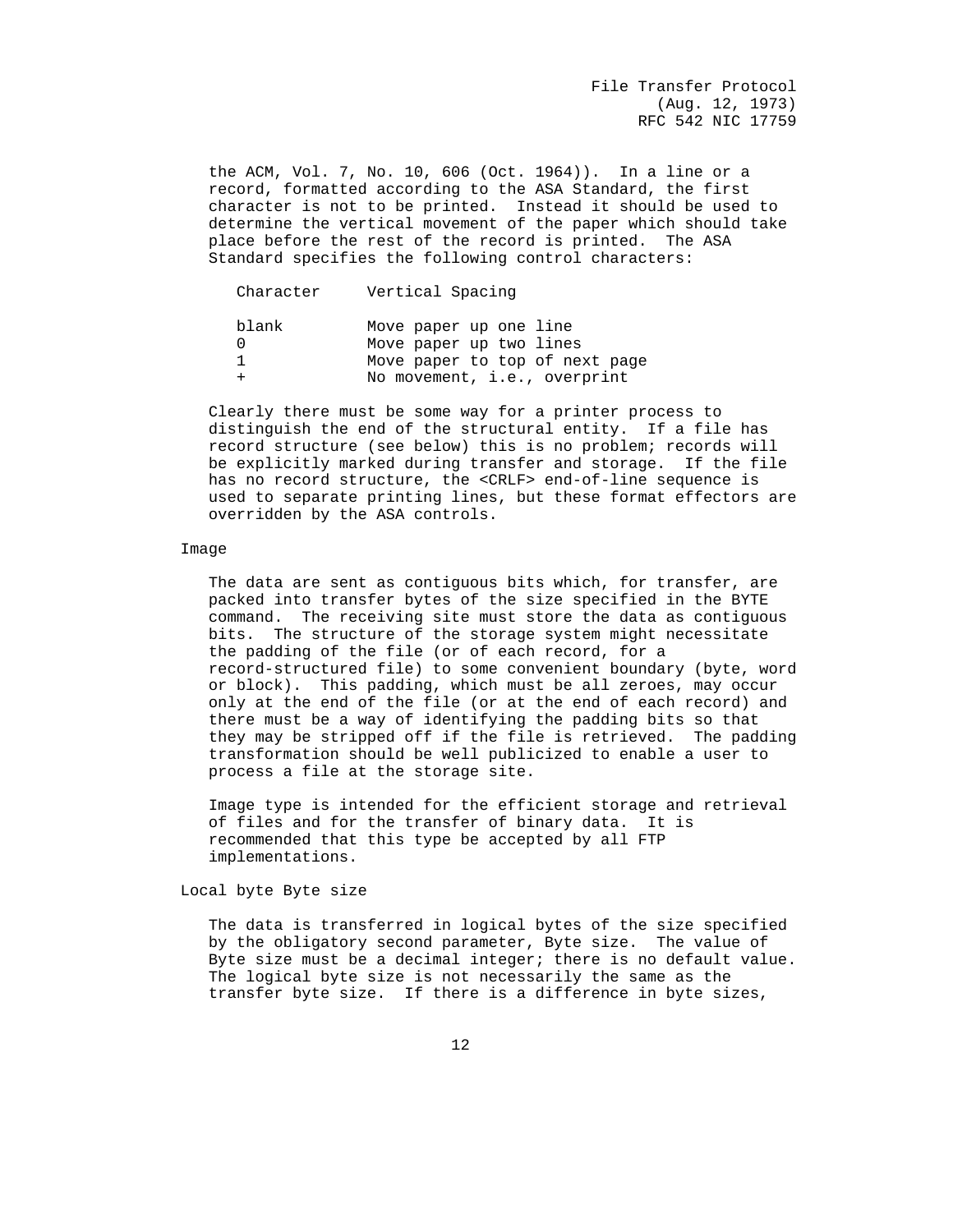the ACM, Vol. 7, No. 10, 606 (Oct. 1964)). In a line or a record, formatted according to the ASA Standard, the first character is not to be printed. Instead it should be used to determine the vertical movement of the paper which should take place before the rest of the record is printed. The ASA Standard specifies the following control characters:

 Character Vertical Spacing blank Move paper up one line 0 Move paper up two lines 1 Move paper to top of next page + No movement, i.e., overprint

 Clearly there must be some way for a printer process to distinguish the end of the structural entity. If a file has record structure (see below) this is no problem; records will be explicitly marked during transfer and storage. If the file has no record structure, the <CRLF> end-of-line sequence is used to separate printing lines, but these format effectors are overridden by the ASA controls.

#### Image

 The data are sent as contiguous bits which, for transfer, are packed into transfer bytes of the size specified in the BYTE command. The receiving site must store the data as contiguous bits. The structure of the storage system might necessitate the padding of the file (or of each record, for a record-structured file) to some convenient boundary (byte, word or block). This padding, which must be all zeroes, may occur only at the end of the file (or at the end of each record) and there must be a way of identifying the padding bits so that they may be stripped off if the file is retrieved. The padding transformation should be well publicized to enable a user to process a file at the storage site.

 Image type is intended for the efficient storage and retrieval of files and for the transfer of binary data. It is recommended that this type be accepted by all FTP implementations.

Local byte Byte size

 The data is transferred in logical bytes of the size specified by the obligatory second parameter, Byte size. The value of Byte size must be a decimal integer; there is no default value. The logical byte size is not necessarily the same as the transfer byte size. If there is a difference in byte sizes,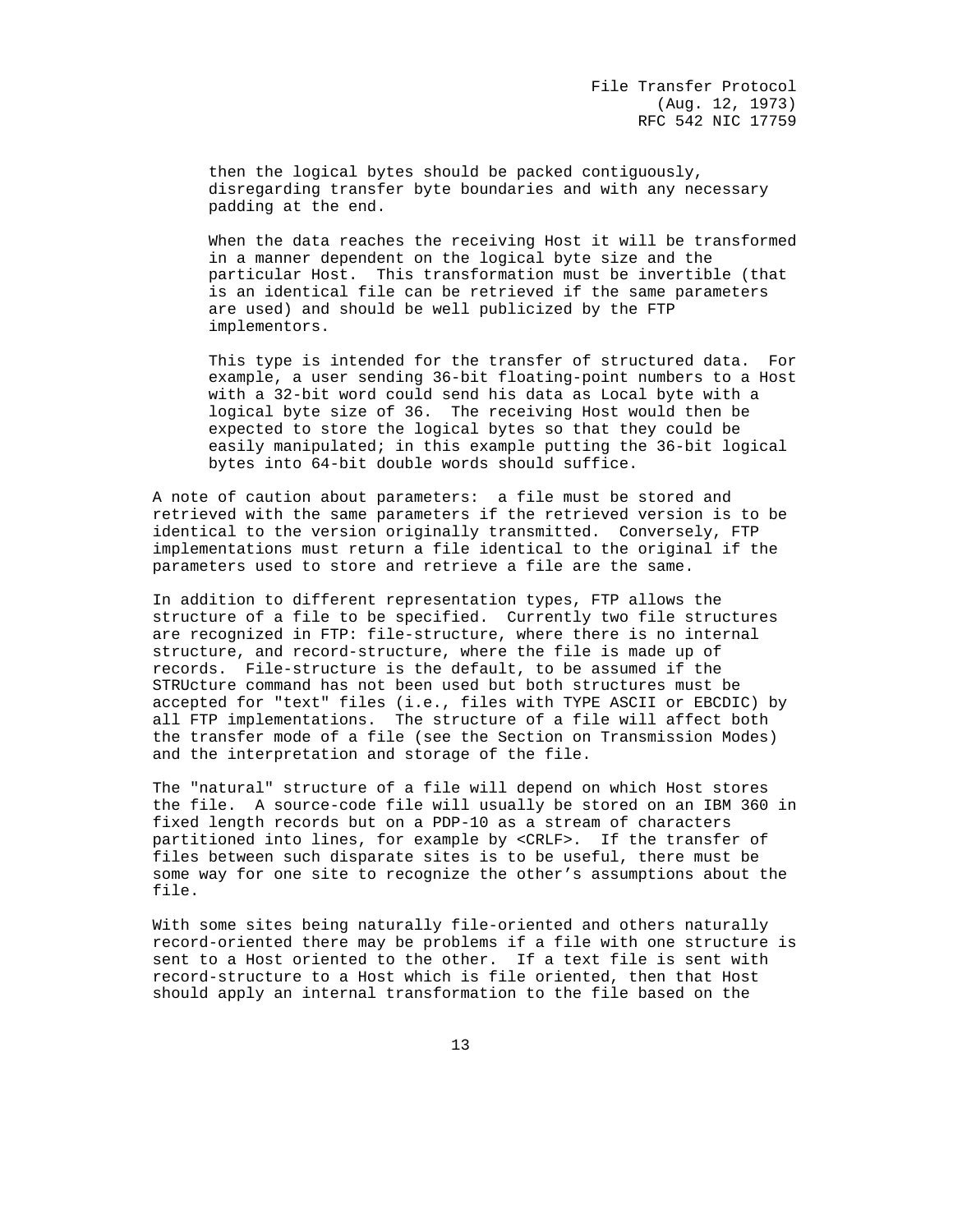then the logical bytes should be packed contiguously, disregarding transfer byte boundaries and with any necessary padding at the end.

 When the data reaches the receiving Host it will be transformed in a manner dependent on the logical byte size and the particular Host. This transformation must be invertible (that is an identical file can be retrieved if the same parameters are used) and should be well publicized by the FTP implementors.

 This type is intended for the transfer of structured data. For example, a user sending 36-bit floating-point numbers to a Host with a 32-bit word could send his data as Local byte with a logical byte size of 36. The receiving Host would then be expected to store the logical bytes so that they could be easily manipulated; in this example putting the 36-bit logical bytes into 64-bit double words should suffice.

 A note of caution about parameters: a file must be stored and retrieved with the same parameters if the retrieved version is to be identical to the version originally transmitted. Conversely, FTP implementations must return a file identical to the original if the parameters used to store and retrieve a file are the same.

 In addition to different representation types, FTP allows the structure of a file to be specified. Currently two file structures are recognized in FTP: file-structure, where there is no internal structure, and record-structure, where the file is made up of records. File-structure is the default, to be assumed if the STRUcture command has not been used but both structures must be accepted for "text" files (i.e., files with TYPE ASCII or EBCDIC) by all FTP implementations. The structure of a file will affect both the transfer mode of a file (see the Section on Transmission Modes) and the interpretation and storage of the file.

 The "natural" structure of a file will depend on which Host stores the file. A source-code file will usually be stored on an IBM 360 in fixed length records but on a PDP-10 as a stream of characters partitioned into lines, for example by <CRLF>. If the transfer of files between such disparate sites is to be useful, there must be some way for one site to recognize the other's assumptions about the file.

 With some sites being naturally file-oriented and others naturally record-oriented there may be problems if a file with one structure is sent to a Host oriented to the other. If a text file is sent with record-structure to a Host which is file oriented, then that Host should apply an internal transformation to the file based on the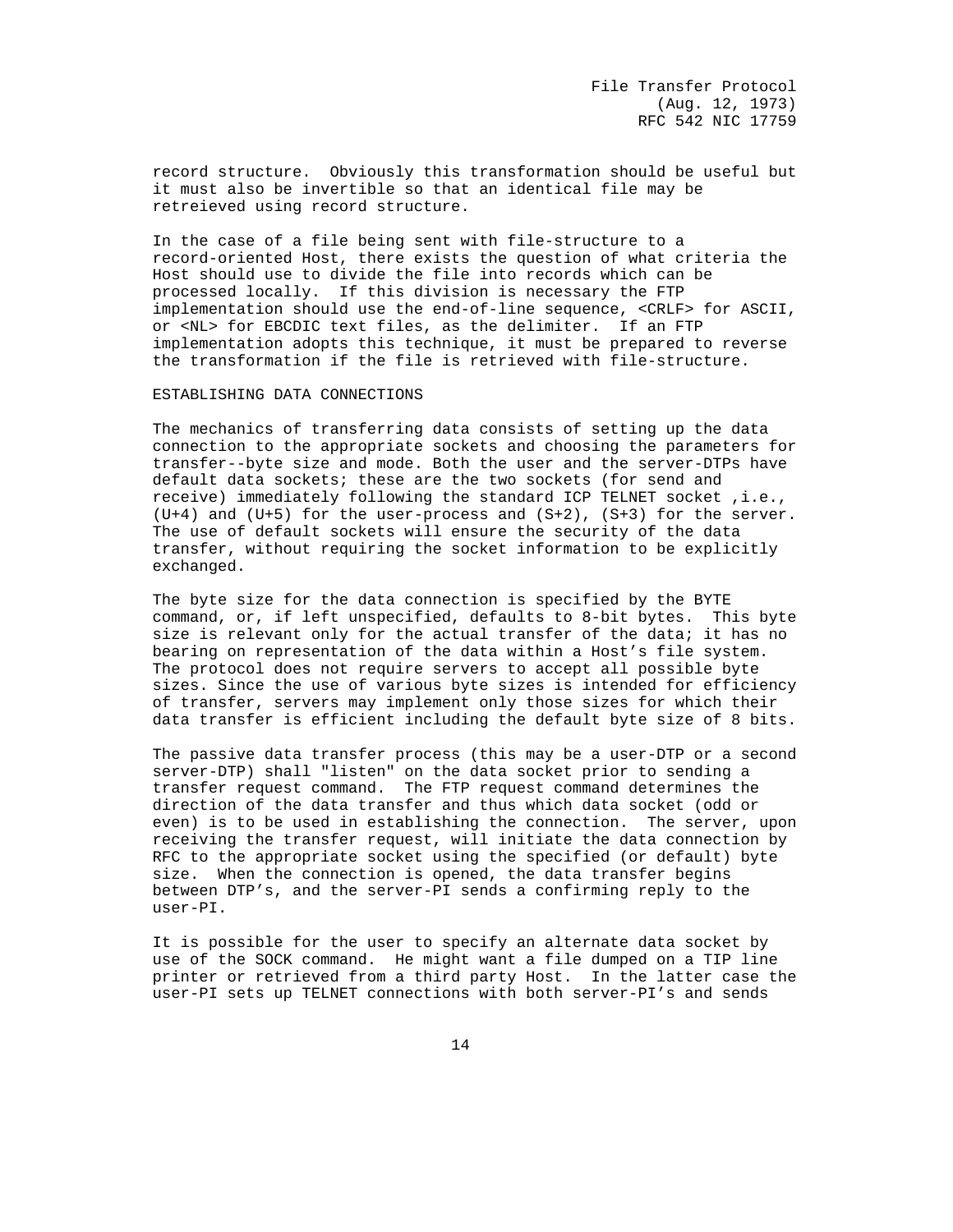record structure. Obviously this transformation should be useful but it must also be invertible so that an identical file may be retreieved using record structure.

 In the case of a file being sent with file-structure to a record-oriented Host, there exists the question of what criteria the Host should use to divide the file into records which can be processed locally. If this division is necessary the FTP implementation should use the end-of-line sequence, <CRLF> for ASCII, or <NL> for EBCDIC text files, as the delimiter. If an FTP implementation adopts this technique, it must be prepared to reverse the transformation if the file is retrieved with file-structure.

### ESTABLISHING DATA CONNECTIONS

 The mechanics of transferring data consists of setting up the data connection to the appropriate sockets and choosing the parameters for transfer--byte size and mode. Both the user and the server-DTPs have default data sockets; these are the two sockets (for send and receive) immediately following the standard ICP TELNET socket ,i.e.,  $(U+4)$  and  $(U+5)$  for the user-process and  $(S+2)$ ,  $(S+3)$  for the server. The use of default sockets will ensure the security of the data transfer, without requiring the socket information to be explicitly exchanged.

 The byte size for the data connection is specified by the BYTE command, or, if left unspecified, defaults to 8-bit bytes. This byte size is relevant only for the actual transfer of the data; it has no bearing on representation of the data within a Host's file system. The protocol does not require servers to accept all possible byte sizes. Since the use of various byte sizes is intended for efficiency of transfer, servers may implement only those sizes for which their data transfer is efficient including the default byte size of 8 bits.

 The passive data transfer process (this may be a user-DTP or a second server-DTP) shall "listen" on the data socket prior to sending a transfer request command. The FTP request command determines the direction of the data transfer and thus which data socket (odd or even) is to be used in establishing the connection. The server, upon receiving the transfer request, will initiate the data connection by RFC to the appropriate socket using the specified (or default) byte size. When the connection is opened, the data transfer begins between DTP's, and the server-PI sends a confirming reply to the user-PI.

 It is possible for the user to specify an alternate data socket by use of the SOCK command. He might want a file dumped on a TIP line printer or retrieved from a third party Host. In the latter case the user-PI sets up TELNET connections with both server-PI's and sends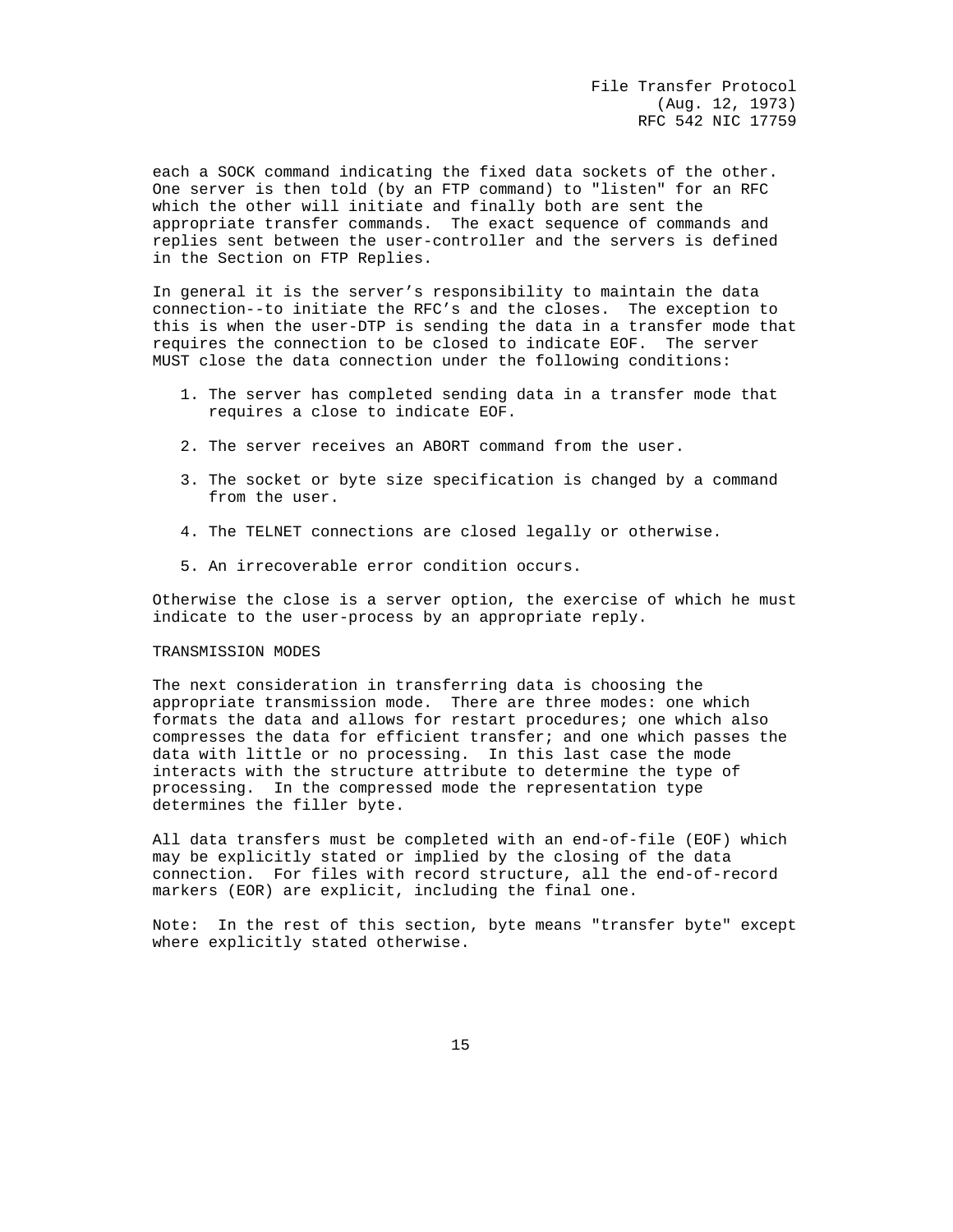each a SOCK command indicating the fixed data sockets of the other. One server is then told (by an FTP command) to "listen" for an RFC which the other will initiate and finally both are sent the appropriate transfer commands. The exact sequence of commands and replies sent between the user-controller and the servers is defined in the Section on FTP Replies.

 In general it is the server's responsibility to maintain the data connection--to initiate the RFC's and the closes. The exception to this is when the user-DTP is sending the data in a transfer mode that requires the connection to be closed to indicate EOF. The server MUST close the data connection under the following conditions:

- 1. The server has completed sending data in a transfer mode that requires a close to indicate EOF.
- 2. The server receives an ABORT command from the user.
- 3. The socket or byte size specification is changed by a command from the user.
- 4. The TELNET connections are closed legally or otherwise.
- 5. An irrecoverable error condition occurs.

 Otherwise the close is a server option, the exercise of which he must indicate to the user-process by an appropriate reply.

#### TRANSMISSION MODES

 The next consideration in transferring data is choosing the appropriate transmission mode. There are three modes: one which formats the data and allows for restart procedures; one which also compresses the data for efficient transfer; and one which passes the data with little or no processing. In this last case the mode interacts with the structure attribute to determine the type of processing. In the compressed mode the representation type determines the filler byte.

 All data transfers must be completed with an end-of-file (EOF) which may be explicitly stated or implied by the closing of the data connection. For files with record structure, all the end-of-record markers (EOR) are explicit, including the final one.

 Note: In the rest of this section, byte means "transfer byte" except where explicitly stated otherwise.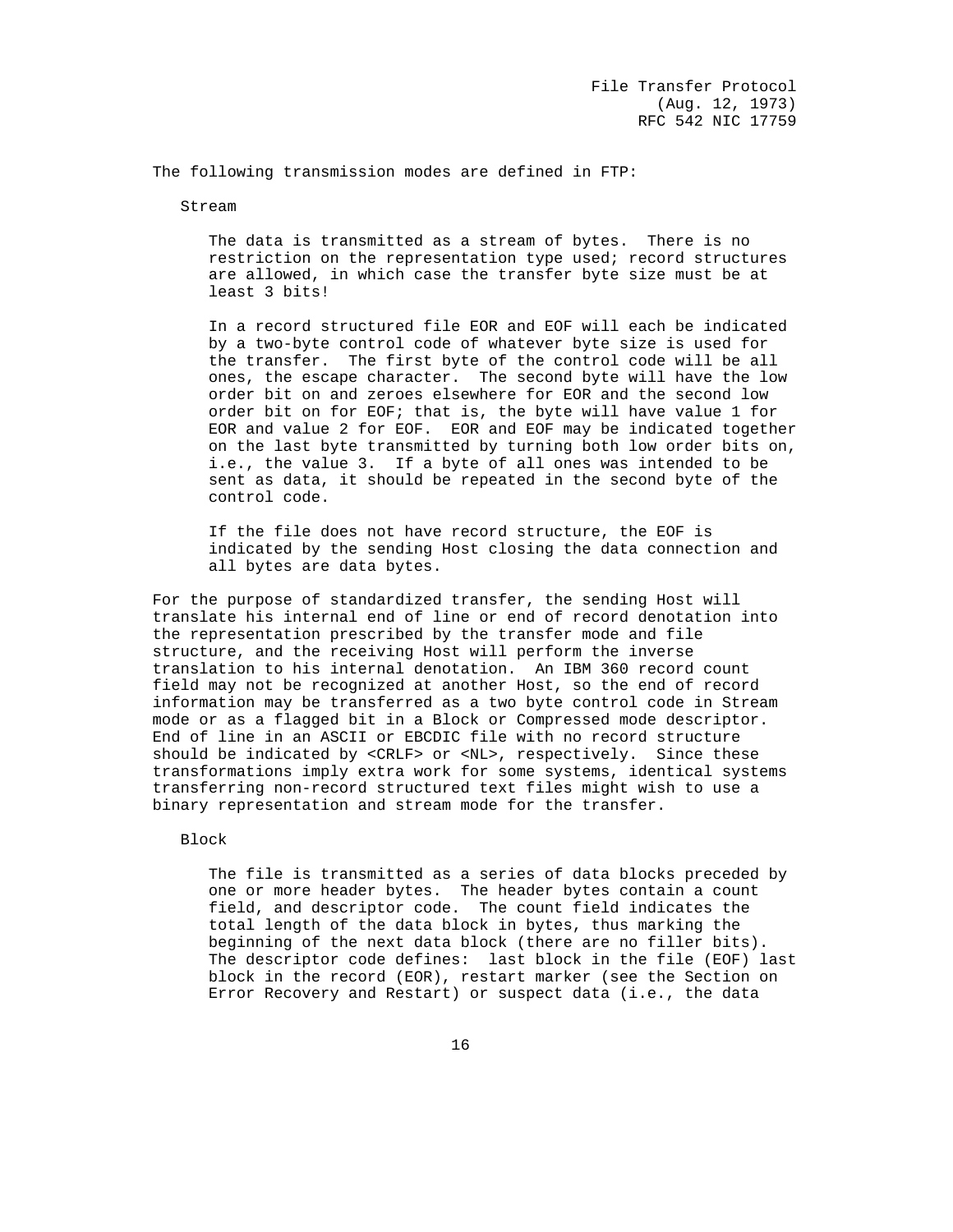The following transmission modes are defined in FTP:

Stream

 The data is transmitted as a stream of bytes. There is no restriction on the representation type used; record structures are allowed, in which case the transfer byte size must be at least 3 bits!

 In a record structured file EOR and EOF will each be indicated by a two-byte control code of whatever byte size is used for the transfer. The first byte of the control code will be all ones, the escape character. The second byte will have the low order bit on and zeroes elsewhere for EOR and the second low order bit on for EOF; that is, the byte will have value 1 for EOR and value 2 for EOF. EOR and EOF may be indicated together on the last byte transmitted by turning both low order bits on, i.e., the value 3. If a byte of all ones was intended to be sent as data, it should be repeated in the second byte of the control code.

 If the file does not have record structure, the EOF is indicated by the sending Host closing the data connection and all bytes are data bytes.

 For the purpose of standardized transfer, the sending Host will translate his internal end of line or end of record denotation into the representation prescribed by the transfer mode and file structure, and the receiving Host will perform the inverse translation to his internal denotation. An IBM 360 record count field may not be recognized at another Host, so the end of record information may be transferred as a two byte control code in Stream mode or as a flagged bit in a Block or Compressed mode descriptor. End of line in an ASCII or EBCDIC file with no record structure should be indicated by <CRLF> or <NL>, respectively. Since these transformations imply extra work for some systems, identical systems transferring non-record structured text files might wish to use a binary representation and stream mode for the transfer.

Block

 The file is transmitted as a series of data blocks preceded by one or more header bytes. The header bytes contain a count field, and descriptor code. The count field indicates the total length of the data block in bytes, thus marking the beginning of the next data block (there are no filler bits). The descriptor code defines: last block in the file (EOF) last block in the record (EOR), restart marker (see the Section on Error Recovery and Restart) or suspect data (i.e., the data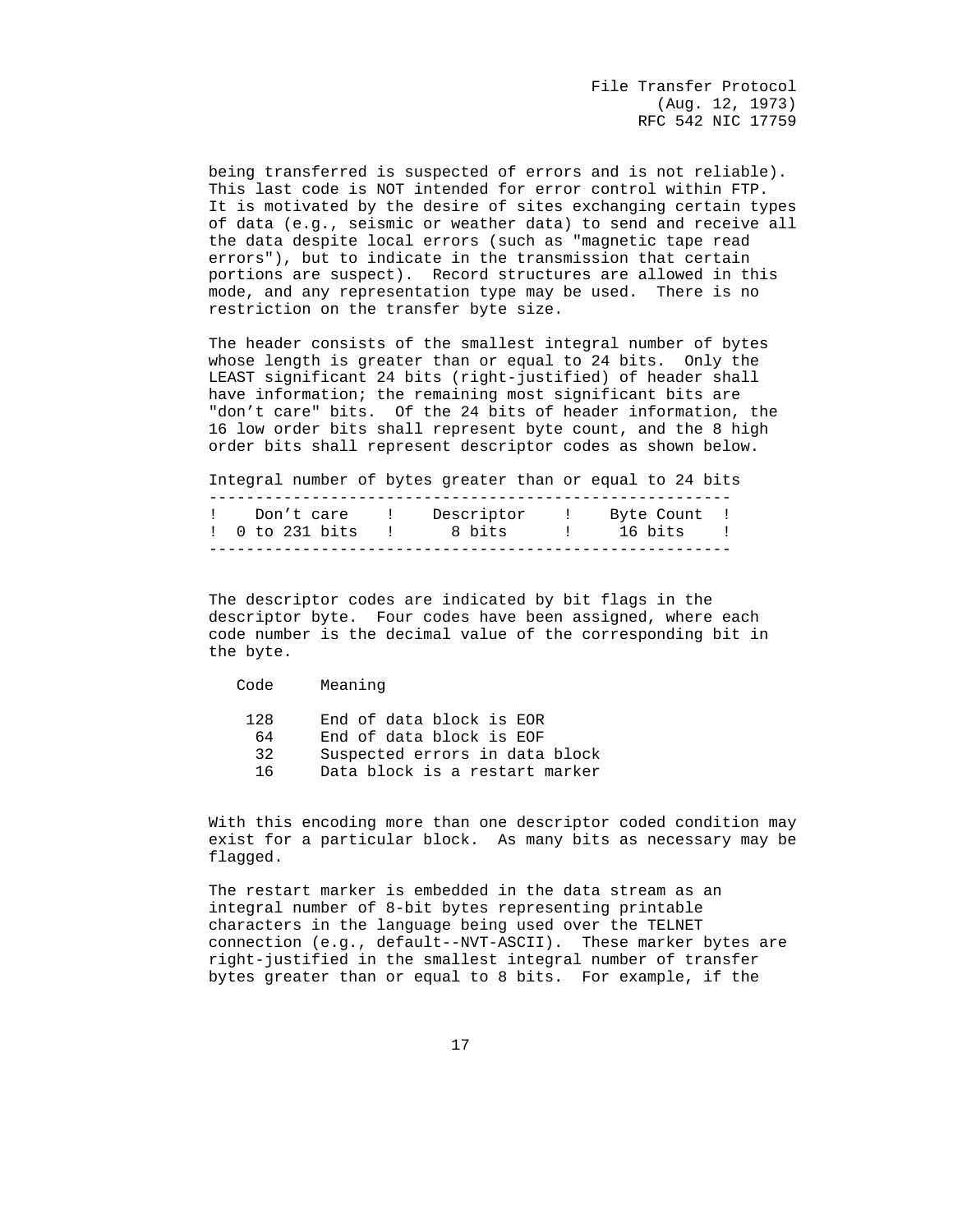being transferred is suspected of errors and is not reliable). This last code is NOT intended for error control within FTP. It is motivated by the desire of sites exchanging certain types of data (e.g., seismic or weather data) to send and receive all the data despite local errors (such as "magnetic tape read errors"), but to indicate in the transmission that certain portions are suspect). Record structures are allowed in this mode, and any representation type may be used. There is no restriction on the transfer byte size.

 The header consists of the smallest integral number of bytes whose length is greater than or equal to 24 bits. Only the LEAST significant 24 bits (right-justified) of header shall have information; the remaining most significant bits are "don't care" bits. Of the 24 bits of header information, the 16 low order bits shall represent byte count, and the 8 high order bits shall represent descriptor codes as shown below.

 Integral number of bytes greater than or equal to 24 bits -------------------------------------------------------- ! Don't care ! Descriptor ! Byte Count ! ! 0 to 231 bits ! 8 bits ! 16 bits ! --------------------------------------------------------

> The descriptor codes are indicated by bit flags in the descriptor byte. Four codes have been assigned, where each code number is the decimal value of the corresponding bit in the byte.

Code Meaning

- 128 End of data block is EOR
- 64 End of data block is EOF
- 32 Suspected errors in data block
- 16 Data block is a restart marker

 With this encoding more than one descriptor coded condition may exist for a particular block. As many bits as necessary may be flagged.

 The restart marker is embedded in the data stream as an integral number of 8-bit bytes representing printable characters in the language being used over the TELNET connection (e.g., default--NVT-ASCII). These marker bytes are right-justified in the smallest integral number of transfer bytes greater than or equal to 8 bits. For example, if the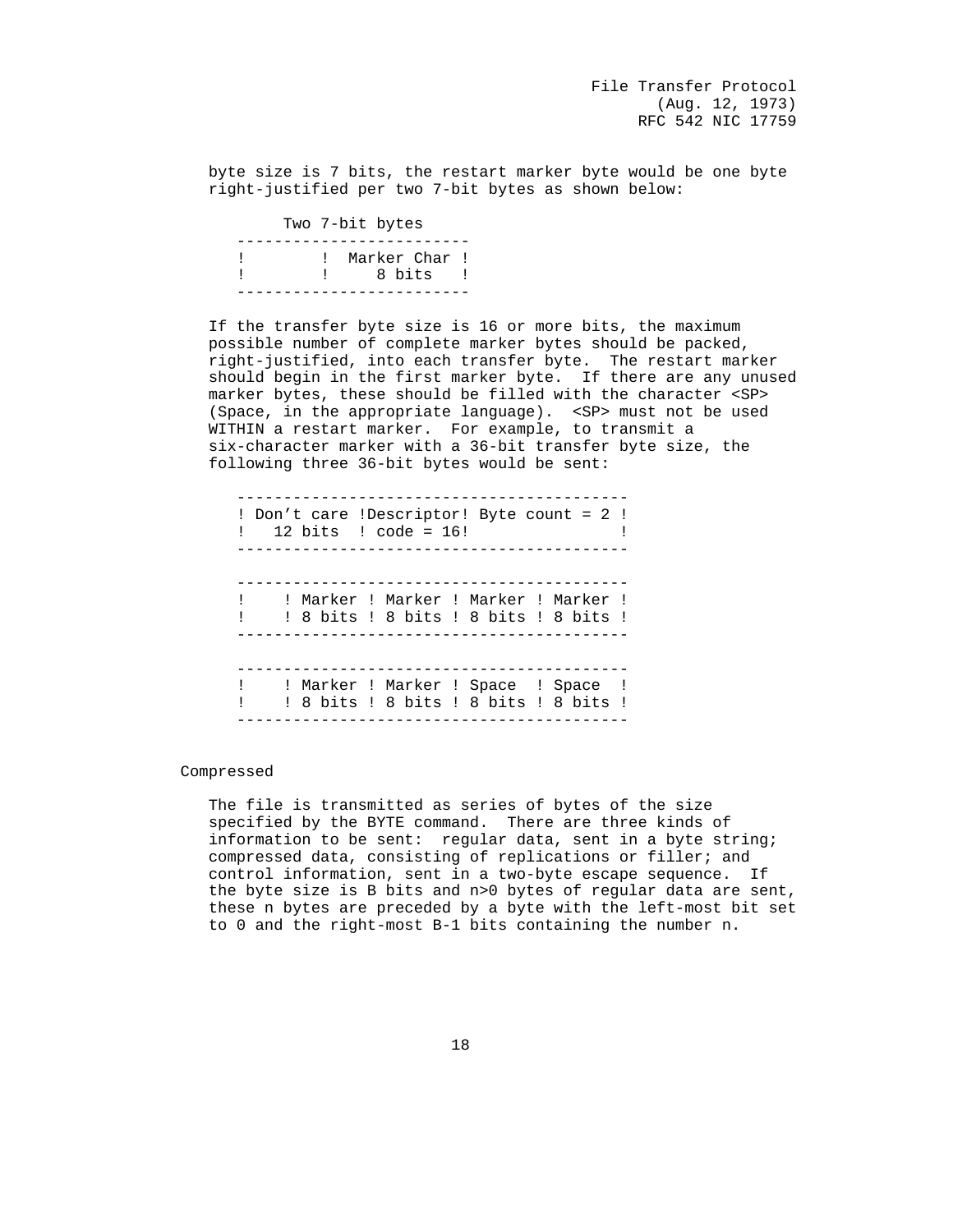byte size is 7 bits, the restart marker byte would be one byte right-justified per two 7-bit bytes as shown below:

|  |                                               | Two 7-bit bytes           |  |
|--|-----------------------------------------------|---------------------------|--|
|  | $\mathbf{L}$<br>$\mathbf{I}$ and $\mathbf{I}$ | Marker Char !<br>8 bits ! |  |
|  |                                               |                           |  |

 If the transfer byte size is 16 or more bits, the maximum possible number of complete marker bytes should be packed, right-justified, into each transfer byte. The restart marker should begin in the first marker byte. If there are any unused marker bytes, these should be filled with the character <SP> (Space, in the appropriate language). <SP> must not be used WITHIN a restart marker. For example, to transmit a six-character marker with a 36-bit transfer byte size, the following three 36-bit bytes would be sent:

 ------------------------------------------ ! Don't care !Descriptor! Byte count = 2 ! ! 12 bits ! code = 16! ! ------------------------------------------ ------------------------------------------ ! Marker ! Marker ! Marker ! Marker ! ! ! 8 bits ! 8 bits ! 8 bits ! 8 bits ! ------------------------------------------ ------------------------------------------ ! Marker ! Marker ! Space ! Space ! ! ! 8 bits ! 8 bits ! 8 bits ! 8 bits ! ------------------------------------------

## Compressed

 The file is transmitted as series of bytes of the size specified by the BYTE command. There are three kinds of information to be sent: regular data, sent in a byte string; compressed data, consisting of replications or filler; and control information, sent in a two-byte escape sequence. If the byte size is B bits and n>0 bytes of regular data are sent, these n bytes are preceded by a byte with the left-most bit set to 0 and the right-most B-1 bits containing the number n.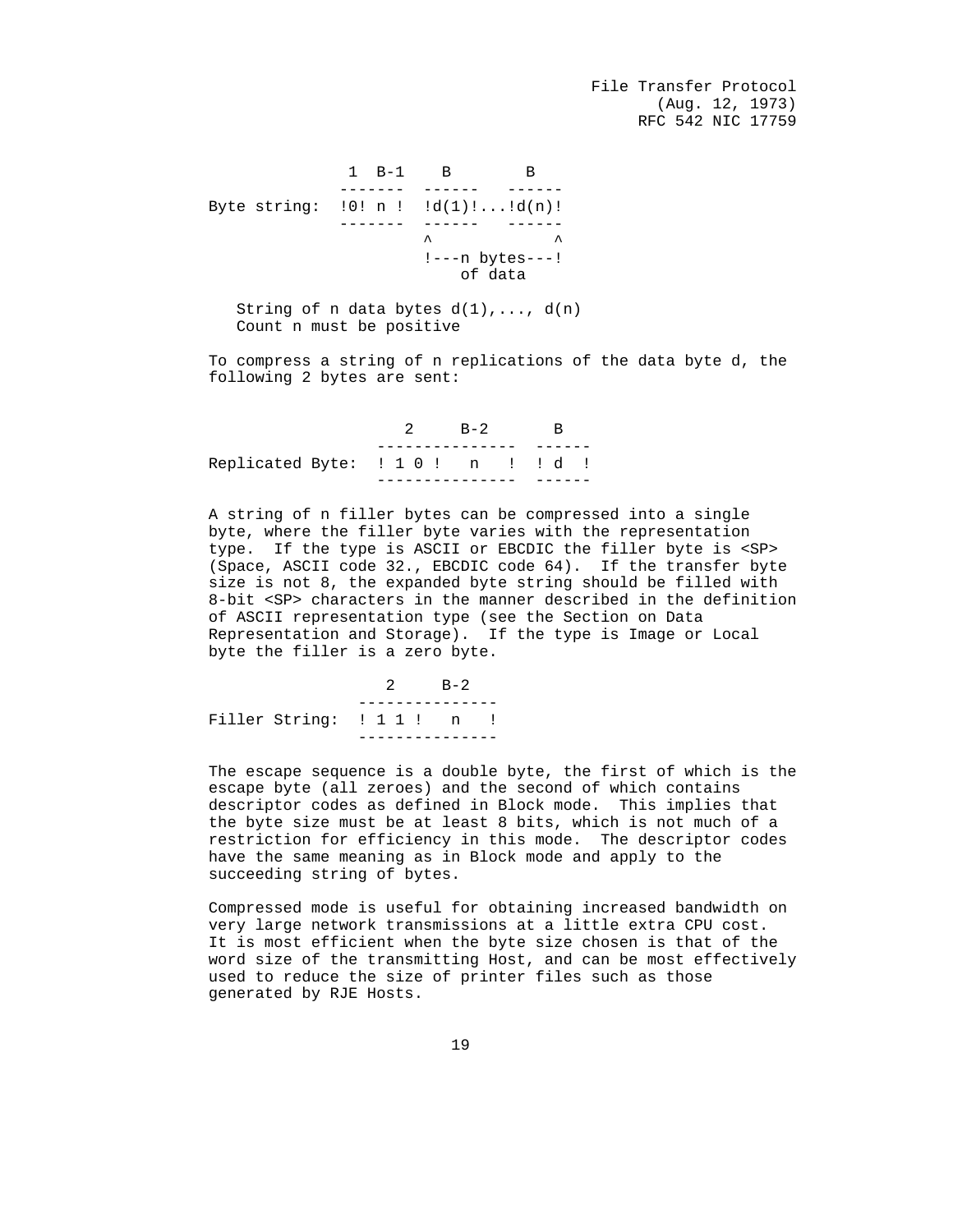1 B-1 B B ------- ------ ------ Byte string:  $!0! n! 1! d(1)!...!d(n)!$  ------- ------ ------  $\lambda$   $\lambda$  !---n bytes---! of data

> String of n data bytes  $d(1),..., d(n)$ Count n must be positive

 To compress a string of n replications of the data byte d, the following 2 bytes are sent:

 2 B-2 B --------------- ------ Replicated Byte: ! 1 0 ! n ! ! d ! --------------- ------

 A string of n filler bytes can be compressed into a single byte, where the filler byte varies with the representation type. If the type is ASCII or EBCDIC the filler byte is <SP> (Space, ASCII code 32., EBCDIC code 64). If the transfer byte size is not 8, the expanded byte string should be filled with 8-bit <SP> characters in the manner described in the definition of ASCII representation type (see the Section on Data Representation and Storage). If the type is Image or Local byte the filler is a zero byte.

 2 B-2 --------------- Filler String: ! 1 1 ! n ! ---------------

 The escape sequence is a double byte, the first of which is the escape byte (all zeroes) and the second of which contains descriptor codes as defined in Block mode. This implies that the byte size must be at least 8 bits, which is not much of a restriction for efficiency in this mode. The descriptor codes have the same meaning as in Block mode and apply to the succeeding string of bytes.

 Compressed mode is useful for obtaining increased bandwidth on very large network transmissions at a little extra CPU cost. It is most efficient when the byte size chosen is that of the word size of the transmitting Host, and can be most effectively used to reduce the size of printer files such as those generated by RJE Hosts.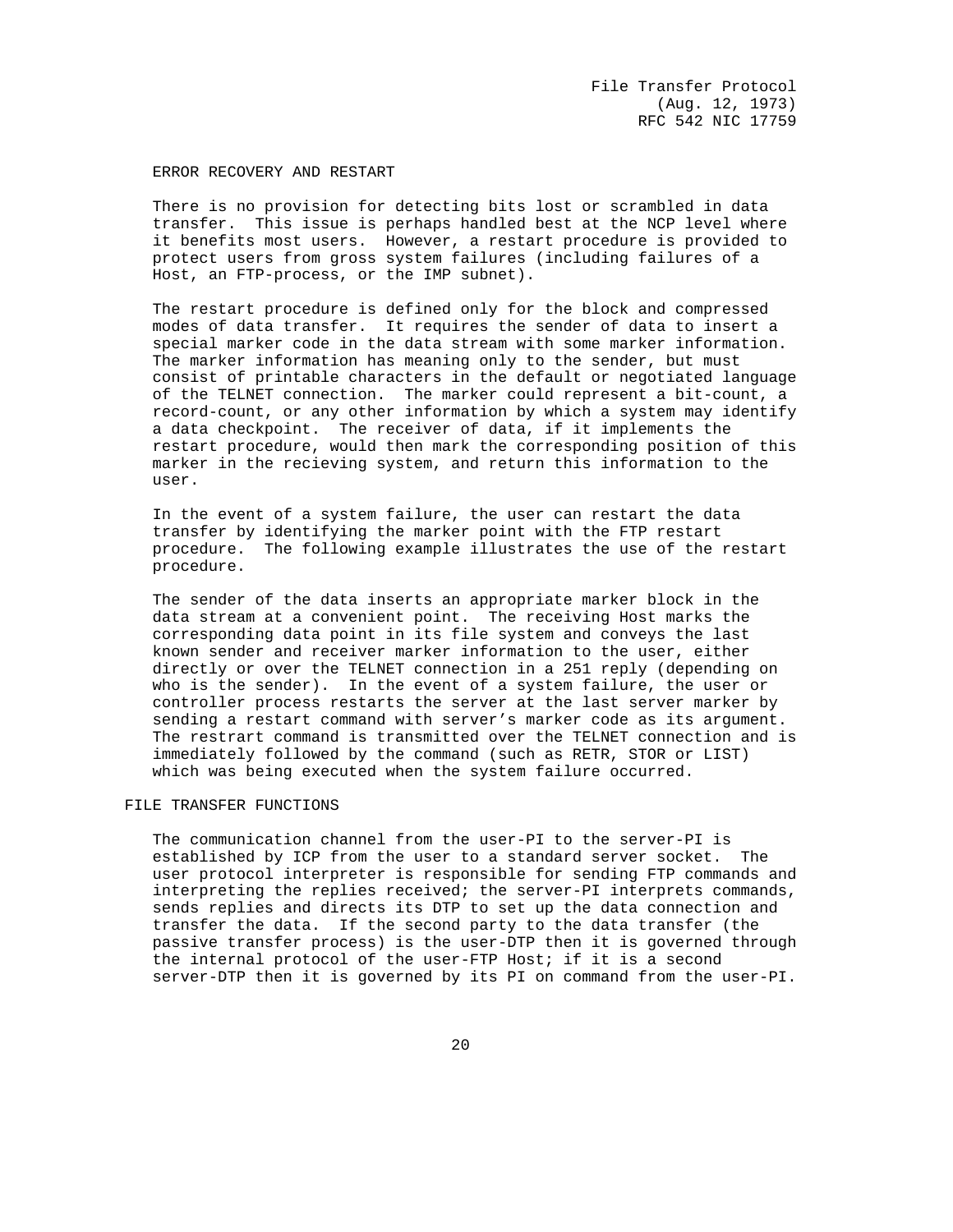## ERROR RECOVERY AND RESTART

 There is no provision for detecting bits lost or scrambled in data transfer. This issue is perhaps handled best at the NCP level where it benefits most users. However, a restart procedure is provided to protect users from gross system failures (including failures of a Host, an FTP-process, or the IMP subnet).

 The restart procedure is defined only for the block and compressed modes of data transfer. It requires the sender of data to insert a special marker code in the data stream with some marker information. The marker information has meaning only to the sender, but must consist of printable characters in the default or negotiated language of the TELNET connection. The marker could represent a bit-count, a record-count, or any other information by which a system may identify a data checkpoint. The receiver of data, if it implements the restart procedure, would then mark the corresponding position of this marker in the recieving system, and return this information to the user.

 In the event of a system failure, the user can restart the data transfer by identifying the marker point with the FTP restart procedure. The following example illustrates the use of the restart procedure.

 The sender of the data inserts an appropriate marker block in the data stream at a convenient point. The receiving Host marks the corresponding data point in its file system and conveys the last known sender and receiver marker information to the user, either directly or over the TELNET connection in a 251 reply (depending on who is the sender). In the event of a system failure, the user or controller process restarts the server at the last server marker by sending a restart command with server's marker code as its argument. The restrart command is transmitted over the TELNET connection and is immediately followed by the command (such as RETR, STOR or LIST) which was being executed when the system failure occurred.

#### FILE TRANSFER FUNCTIONS

 The communication channel from the user-PI to the server-PI is established by ICP from the user to a standard server socket. The user protocol interpreter is responsible for sending FTP commands and interpreting the replies received; the server-PI interprets commands, sends replies and directs its DTP to set up the data connection and transfer the data. If the second party to the data transfer (the passive transfer process) is the user-DTP then it is governed through the internal protocol of the user-FTP Host; if it is a second server-DTP then it is governed by its PI on command from the user-PI.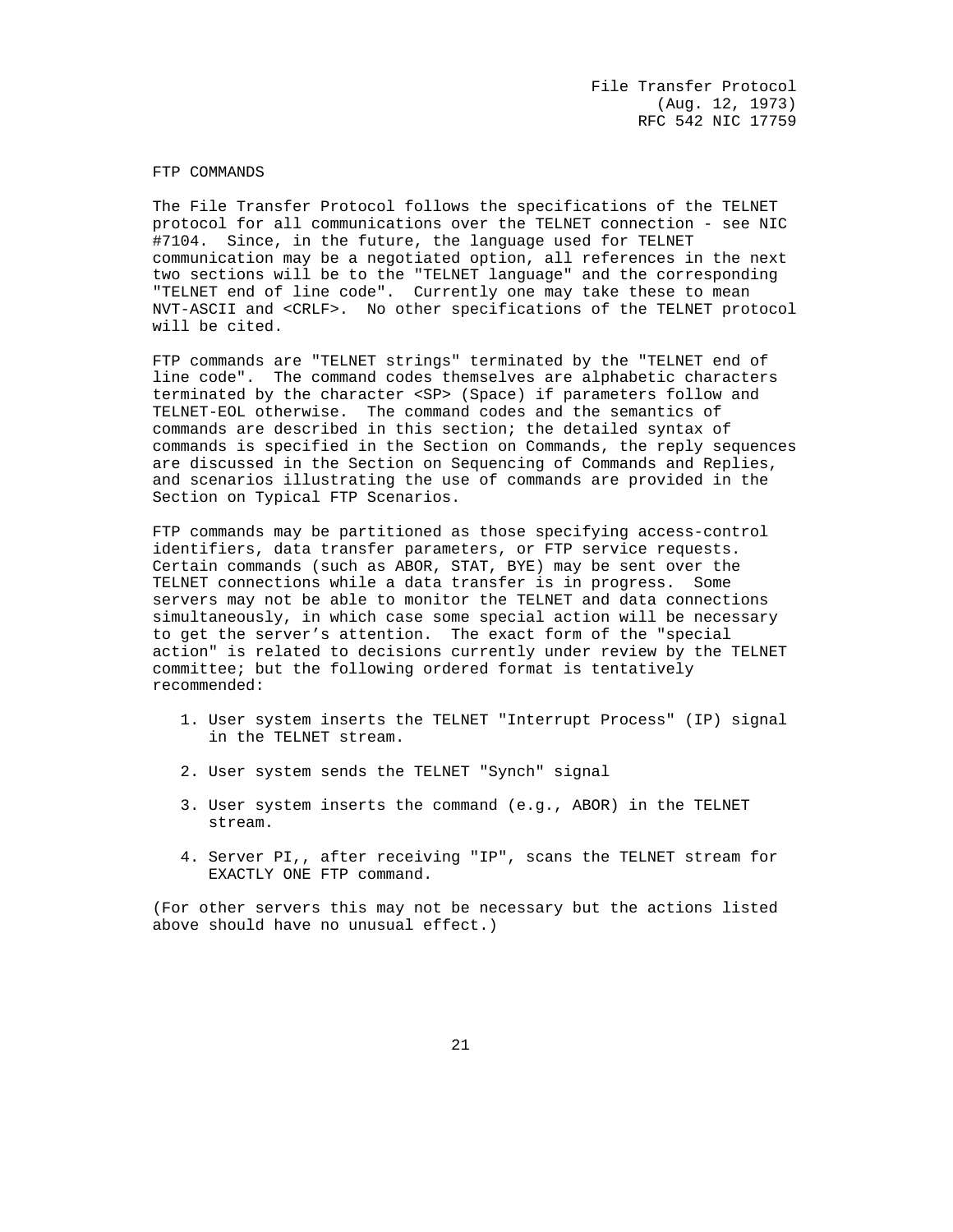FTP COMMANDS

 The File Transfer Protocol follows the specifications of the TELNET protocol for all communications over the TELNET connection - see NIC #7104. Since, in the future, the language used for TELNET communication may be a negotiated option, all references in the next two sections will be to the "TELNET language" and the corresponding "TELNET end of line code". Currently one may take these to mean NVT-ASCII and <CRLF>. No other specifications of the TELNET protocol will be cited.

 FTP commands are "TELNET strings" terminated by the "TELNET end of line code". The command codes themselves are alphabetic characters terminated by the character <SP> (Space) if parameters follow and TELNET-EOL otherwise. The command codes and the semantics of commands are described in this section; the detailed syntax of commands is specified in the Section on Commands, the reply sequences are discussed in the Section on Sequencing of Commands and Replies, and scenarios illustrating the use of commands are provided in the Section on Typical FTP Scenarios.

 FTP commands may be partitioned as those specifying access-control identifiers, data transfer parameters, or FTP service requests. Certain commands (such as ABOR, STAT, BYE) may be sent over the TELNET connections while a data transfer is in progress. Some servers may not be able to monitor the TELNET and data connections simultaneously, in which case some special action will be necessary to get the server's attention. The exact form of the "special action" is related to decisions currently under review by the TELNET committee; but the following ordered format is tentatively recommended:

- 1. User system inserts the TELNET "Interrupt Process" (IP) signal in the TELNET stream.
- 2. User system sends the TELNET "Synch" signal
- 3. User system inserts the command (e.g., ABOR) in the TELNET stream.
- 4. Server PI,, after receiving "IP", scans the TELNET stream for EXACTLY ONE FTP command.

 (For other servers this may not be necessary but the actions listed above should have no unusual effect.)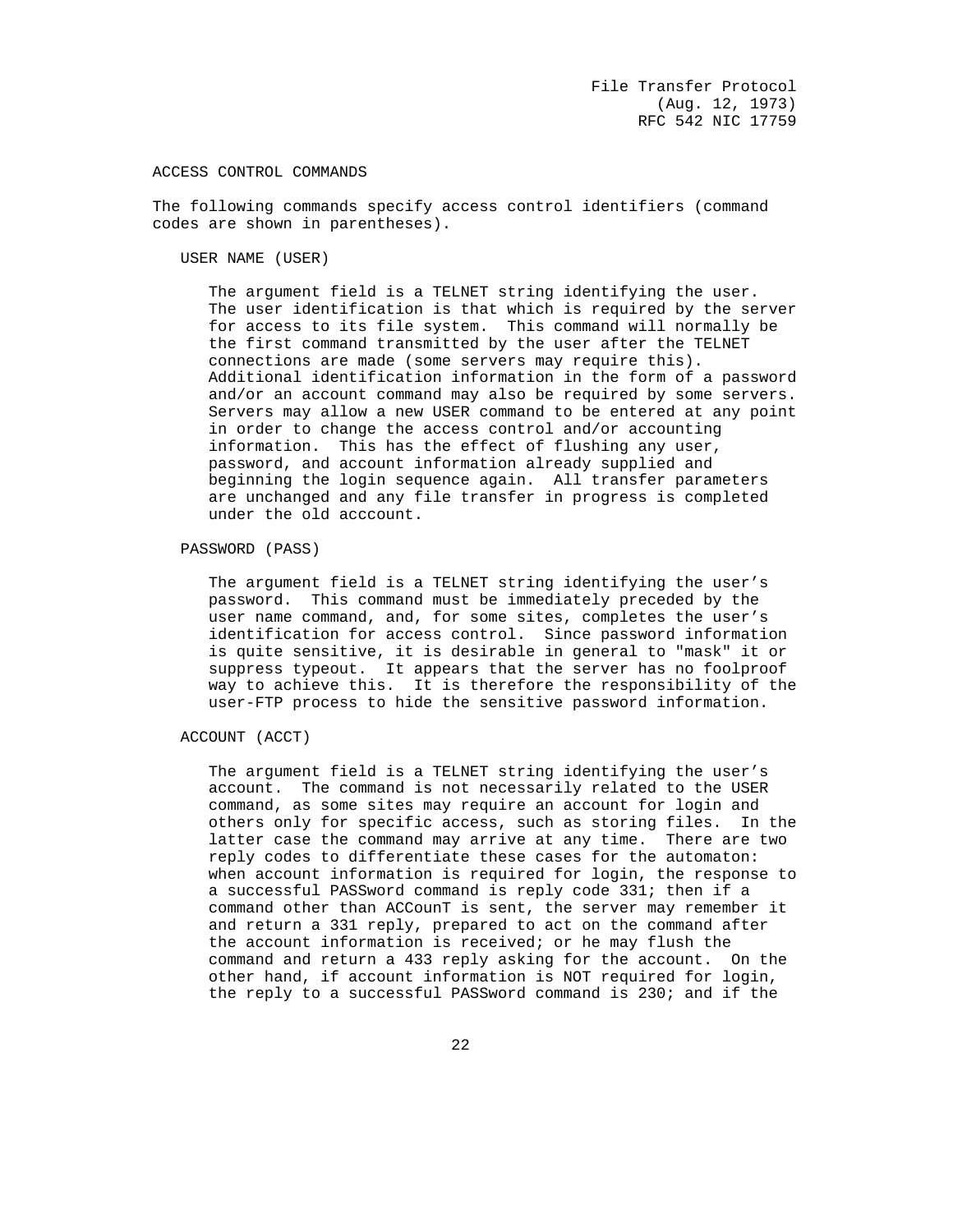ACCESS CONTROL COMMANDS

 The following commands specify access control identifiers (command codes are shown in parentheses).

USER NAME (USER)

 The argument field is a TELNET string identifying the user. The user identification is that which is required by the server for access to its file system. This command will normally be the first command transmitted by the user after the TELNET connections are made (some servers may require this). Additional identification information in the form of a password and/or an account command may also be required by some servers. Servers may allow a new USER command to be entered at any point in order to change the access control and/or accounting information. This has the effect of flushing any user, password, and account information already supplied and beginning the login sequence again. All transfer parameters are unchanged and any file transfer in progress is completed under the old acccount.

PASSWORD (PASS)

 The argument field is a TELNET string identifying the user's password. This command must be immediately preceded by the user name command, and, for some sites, completes the user's identification for access control. Since password information is quite sensitive, it is desirable in general to "mask" it or suppress typeout. It appears that the server has no foolproof way to achieve this. It is therefore the responsibility of the user-FTP process to hide the sensitive password information.

ACCOUNT (ACCT)

 The argument field is a TELNET string identifying the user's account. The command is not necessarily related to the USER command, as some sites may require an account for login and others only for specific access, such as storing files. In the latter case the command may arrive at any time. There are two reply codes to differentiate these cases for the automaton: when account information is required for login, the response to a successful PASSword command is reply code 331; then if a command other than ACCounT is sent, the server may remember it and return a 331 reply, prepared to act on the command after the account information is received; or he may flush the command and return a 433 reply asking for the account. On the other hand, if account information is NOT required for login, the reply to a successful PASSword command is 230; and if the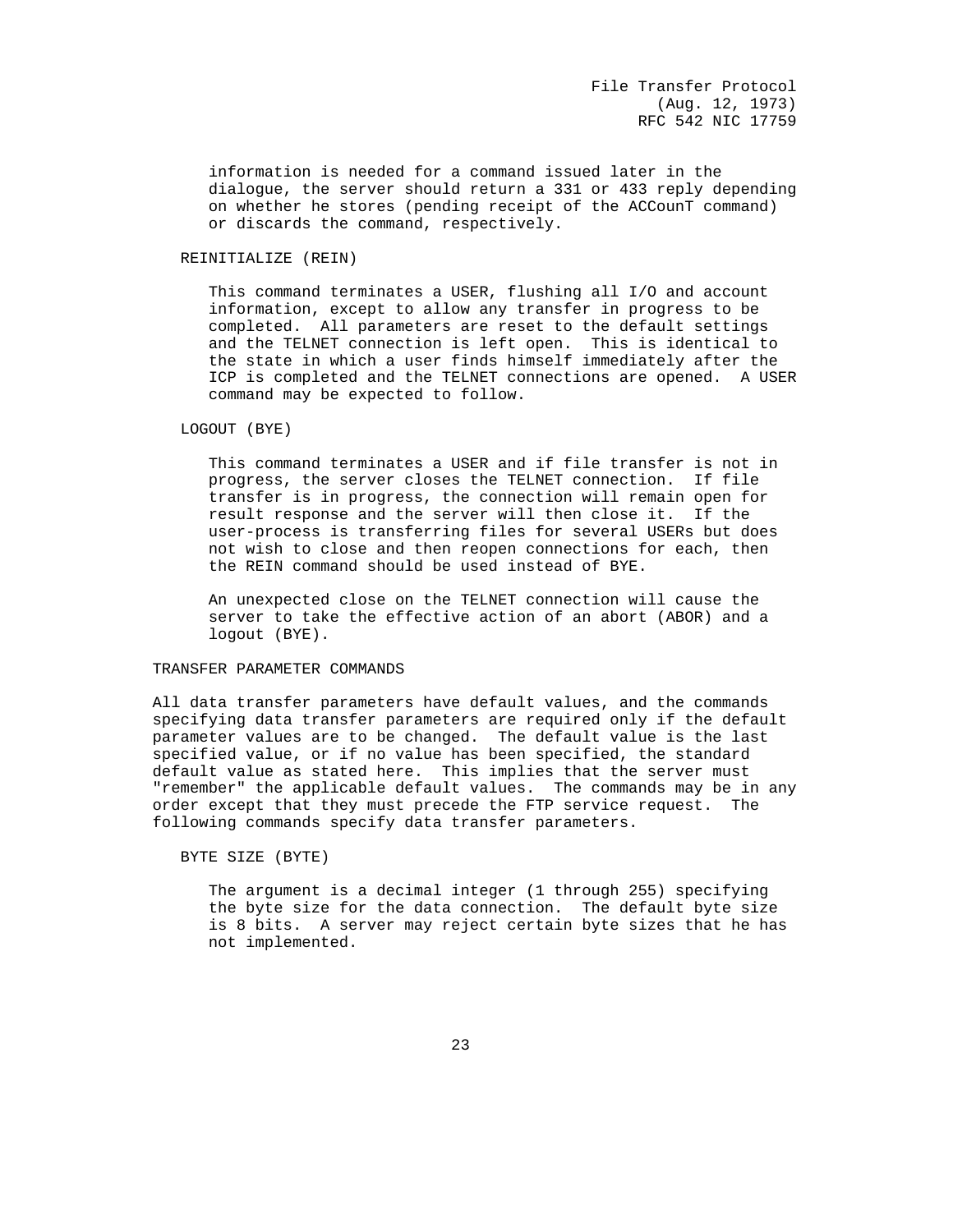information is needed for a command issued later in the dialogue, the server should return a 331 or 433 reply depending on whether he stores (pending receipt of the ACCounT command) or discards the command, respectively.

## REINITIALIZE (REIN)

 This command terminates a USER, flushing all I/O and account information, except to allow any transfer in progress to be completed. All parameters are reset to the default settings and the TELNET connection is left open. This is identical to the state in which a user finds himself immediately after the ICP is completed and the TELNET connections are opened. A USER command may be expected to follow.

## LOGOUT (BYE)

 This command terminates a USER and if file transfer is not in progress, the server closes the TELNET connection. If file transfer is in progress, the connection will remain open for result response and the server will then close it. If the user-process is transferring files for several USERs but does not wish to close and then reopen connections for each, then the REIN command should be used instead of BYE.

 An unexpected close on the TELNET connection will cause the server to take the effective action of an abort (ABOR) and a logout (BYE).

#### TRANSFER PARAMETER COMMANDS

 All data transfer parameters have default values, and the commands specifying data transfer parameters are required only if the default parameter values are to be changed. The default value is the last specified value, or if no value has been specified, the standard default value as stated here. This implies that the server must "remember" the applicable default values. The commands may be in any order except that they must precede the FTP service request. The following commands specify data transfer parameters.

BYTE SIZE (BYTE)

 The argument is a decimal integer (1 through 255) specifying the byte size for the data connection. The default byte size is 8 bits. A server may reject certain byte sizes that he has not implemented.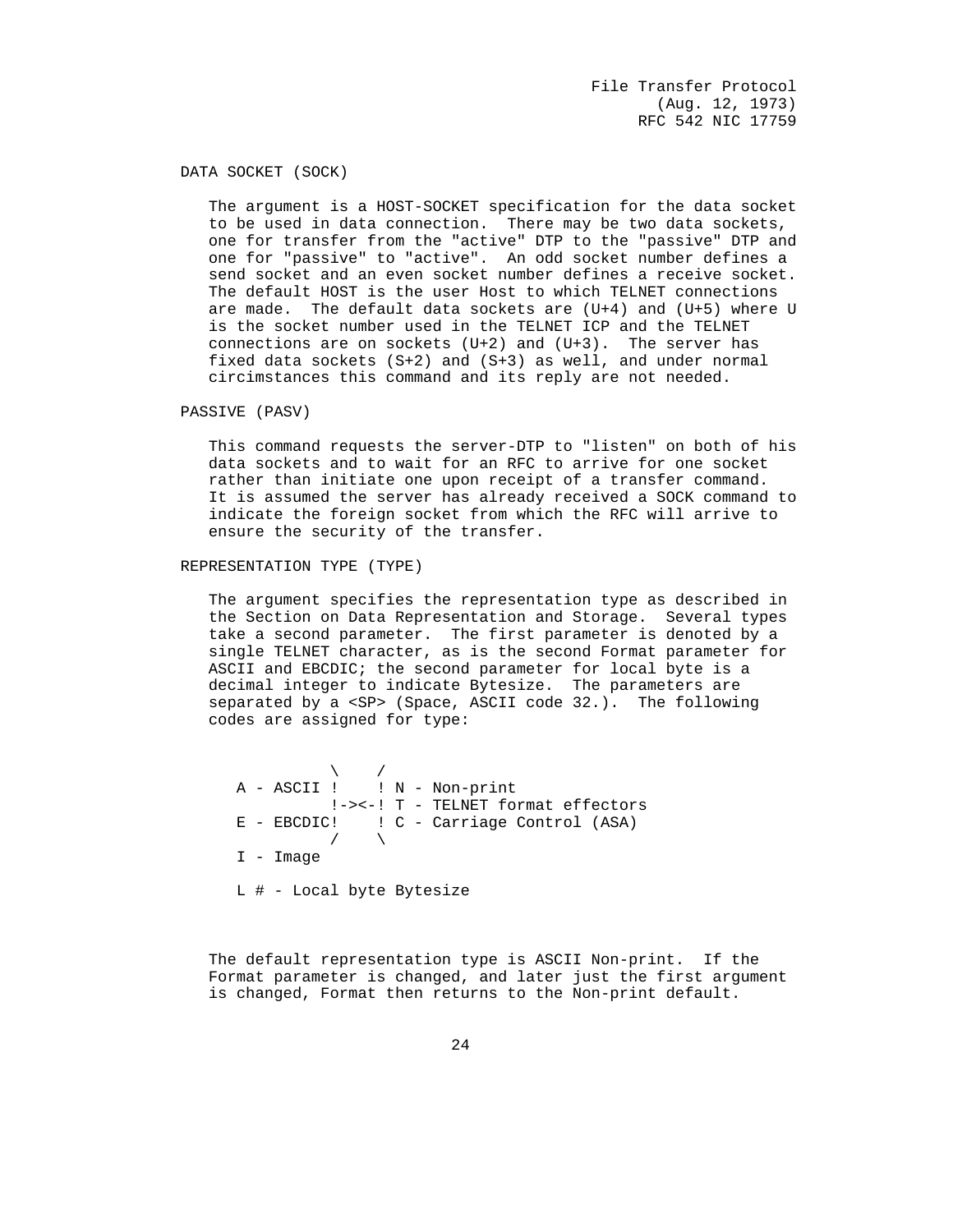#### DATA SOCKET (SOCK)

 The argument is a HOST-SOCKET specification for the data socket to be used in data connection. There may be two data sockets, one for transfer from the "active" DTP to the "passive" DTP and one for "passive" to "active". An odd socket number defines a send socket and an even socket number defines a receive socket. The default HOST is the user Host to which TELNET connections are made. The default data sockets are  $(U+4)$  and  $(U+5)$  where U is the socket number used in the TELNET ICP and the TELNET connections are on sockets (U+2) and (U+3). The server has fixed data sockets (S+2) and (S+3) as well, and under normal circimstances this command and its reply are not needed.

#### PASSIVE (PASV)

 This command requests the server-DTP to "listen" on both of his data sockets and to wait for an RFC to arrive for one socket rather than initiate one upon receipt of a transfer command. It is assumed the server has already received a SOCK command to indicate the foreign socket from which the RFC will arrive to ensure the security of the transfer.

## REPRESENTATION TYPE (TYPE)

 The argument specifies the representation type as described in the Section on Data Representation and Storage. Several types take a second parameter. The first parameter is denoted by a single TELNET character, as is the second Format parameter for ASCII and EBCDIC; the second parameter for local byte is a decimal integer to indicate Bytesize. The parameters are separated by a <SP> (Space, ASCII code 32.). The following codes are assigned for type:

 $\sqrt{2}$  /  $\sqrt{2}$  /  $\sqrt{2}$  /  $\sqrt{2}$  /  $\sqrt{2}$  /  $\sqrt{2}$  /  $\sqrt{2}$  /  $\sqrt{2}$  /  $\sqrt{2}$  /  $\sqrt{2}$  /  $\sqrt{2}$  /  $\sqrt{2}$  /  $\sqrt{2}$  /  $\sqrt{2}$  /  $\sqrt{2}$  /  $\sqrt{2}$  /  $\sqrt{2}$  /  $\sqrt{2}$  /  $\sqrt{2}$  /  $\sqrt{2}$  /  $\sqrt{2}$  /  $\sqrt{2}$  / A - ASCII ! ! N - Non-print !-><-! T - TELNET format effectors E - EBCDIC! ! C - Carriage Control (ASA)  $\overline{1}$   $\overline{1}$   $\overline{1}$   $\overline{1}$   $\overline{1}$   $\overline{1}$   $\overline{1}$   $\overline{1}$   $\overline{1}$   $\overline{1}$   $\overline{1}$   $\overline{1}$   $\overline{1}$   $\overline{1}$   $\overline{1}$   $\overline{1}$   $\overline{1}$   $\overline{1}$   $\overline{1}$   $\overline{1}$   $\overline{1}$   $\overline{1}$   $\overline{1}$   $\overline{1}$   $\overline{$ I - Image

L # - Local byte Bytesize

 The default representation type is ASCII Non-print. If the Format parameter is changed, and later just the first argument is changed, Format then returns to the Non-print default.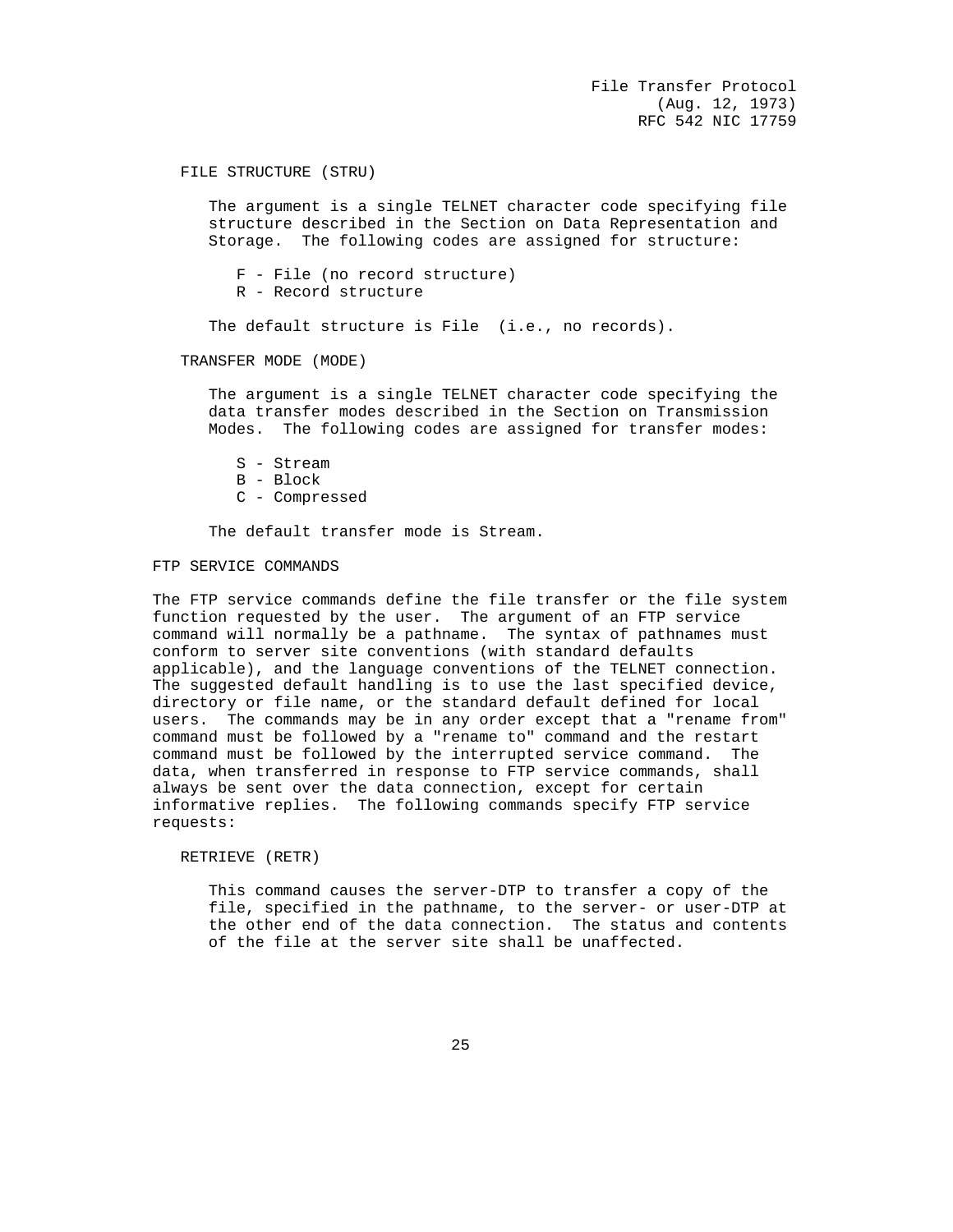## FILE STRUCTURE (STRU)

 The argument is a single TELNET character code specifying file structure described in the Section on Data Representation and Storage. The following codes are assigned for structure:

```
 F - File (no record structure)
 R - Record structure
```
The default structure is File (i.e., no records).

TRANSFER MODE (MODE)

 The argument is a single TELNET character code specifying the data transfer modes described in the Section on Transmission Modes. The following codes are assigned for transfer modes:

- S Stream
- B Block
- C Compressed

The default transfer mode is Stream.

## FTP SERVICE COMMANDS

 The FTP service commands define the file transfer or the file system function requested by the user. The argument of an FTP service command will normally be a pathname. The syntax of pathnames must conform to server site conventions (with standard defaults applicable), and the language conventions of the TELNET connection. The suggested default handling is to use the last specified device, directory or file name, or the standard default defined for local users. The commands may be in any order except that a "rename from" command must be followed by a "rename to" command and the restart command must be followed by the interrupted service command. The data, when transferred in response to FTP service commands, shall always be sent over the data connection, except for certain informative replies. The following commands specify FTP service requests:

RETRIEVE (RETR)

 This command causes the server-DTP to transfer a copy of the file, specified in the pathname, to the server- or user-DTP at the other end of the data connection. The status and contents of the file at the server site shall be unaffected.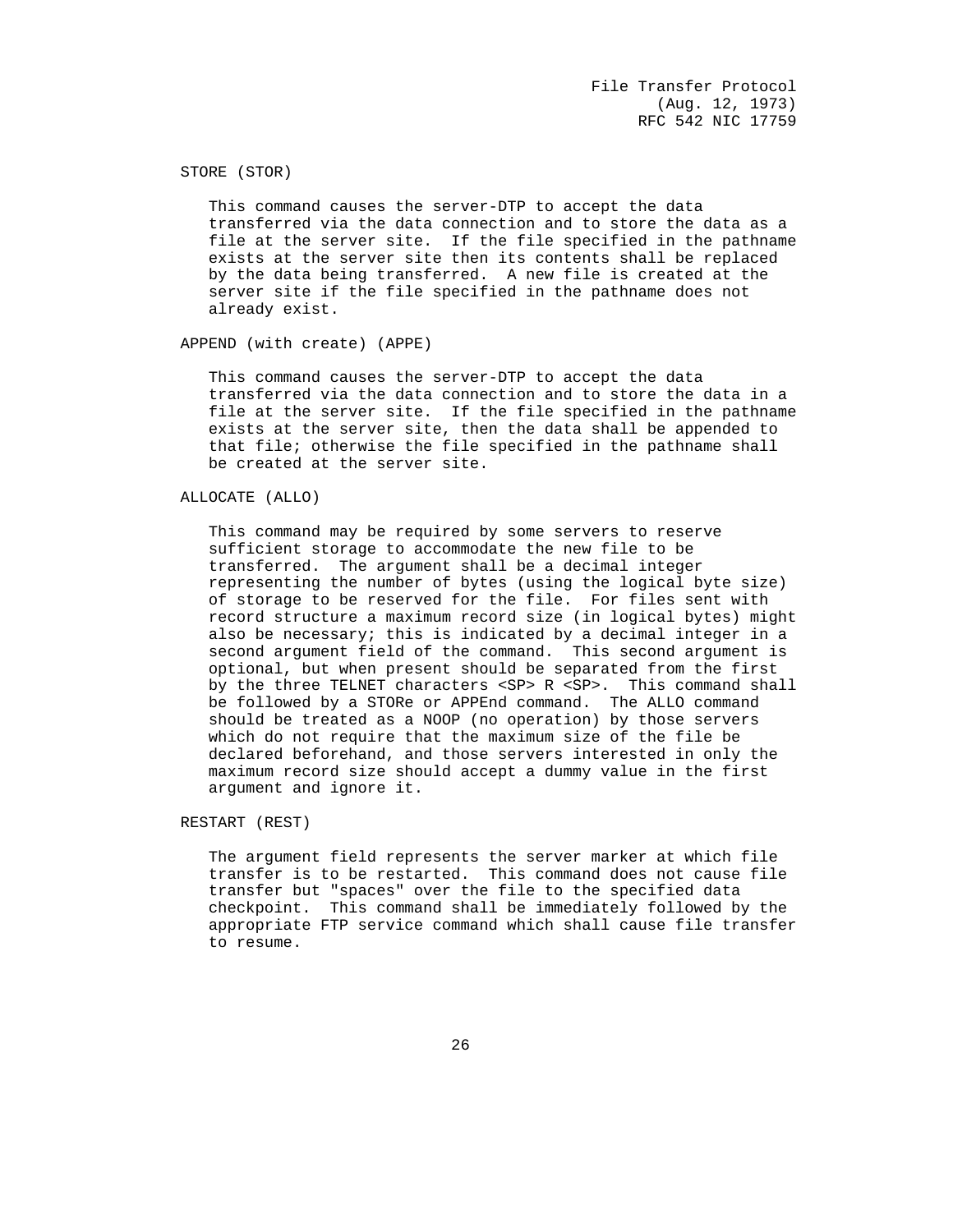### STORE (STOR)

 This command causes the server-DTP to accept the data transferred via the data connection and to store the data as a file at the server site. If the file specified in the pathname exists at the server site then its contents shall be replaced by the data being transferred. A new file is created at the server site if the file specified in the pathname does not already exist.

APPEND (with create) (APPE)

 This command causes the server-DTP to accept the data transferred via the data connection and to store the data in a file at the server site. If the file specified in the pathname exists at the server site, then the data shall be appended to that file; otherwise the file specified in the pathname shall be created at the server site.

## ALLOCATE (ALLO)

 This command may be required by some servers to reserve sufficient storage to accommodate the new file to be transferred. The argument shall be a decimal integer representing the number of bytes (using the logical byte size) of storage to be reserved for the file. For files sent with record structure a maximum record size (in logical bytes) might also be necessary; this is indicated by a decimal integer in a second argument field of the command. This second argument is optional, but when present should be separated from the first by the three TELNET characters <SP> R <SP>. This command shall be followed by a STORe or APPEnd command. The ALLO command should be treated as a NOOP (no operation) by those servers which do not require that the maximum size of the file be declared beforehand, and those servers interested in only the maximum record size should accept a dummy value in the first argument and ignore it.

## RESTART (REST)

 The argument field represents the server marker at which file transfer is to be restarted. This command does not cause file transfer but "spaces" over the file to the specified data checkpoint. This command shall be immediately followed by the appropriate FTP service command which shall cause file transfer to resume.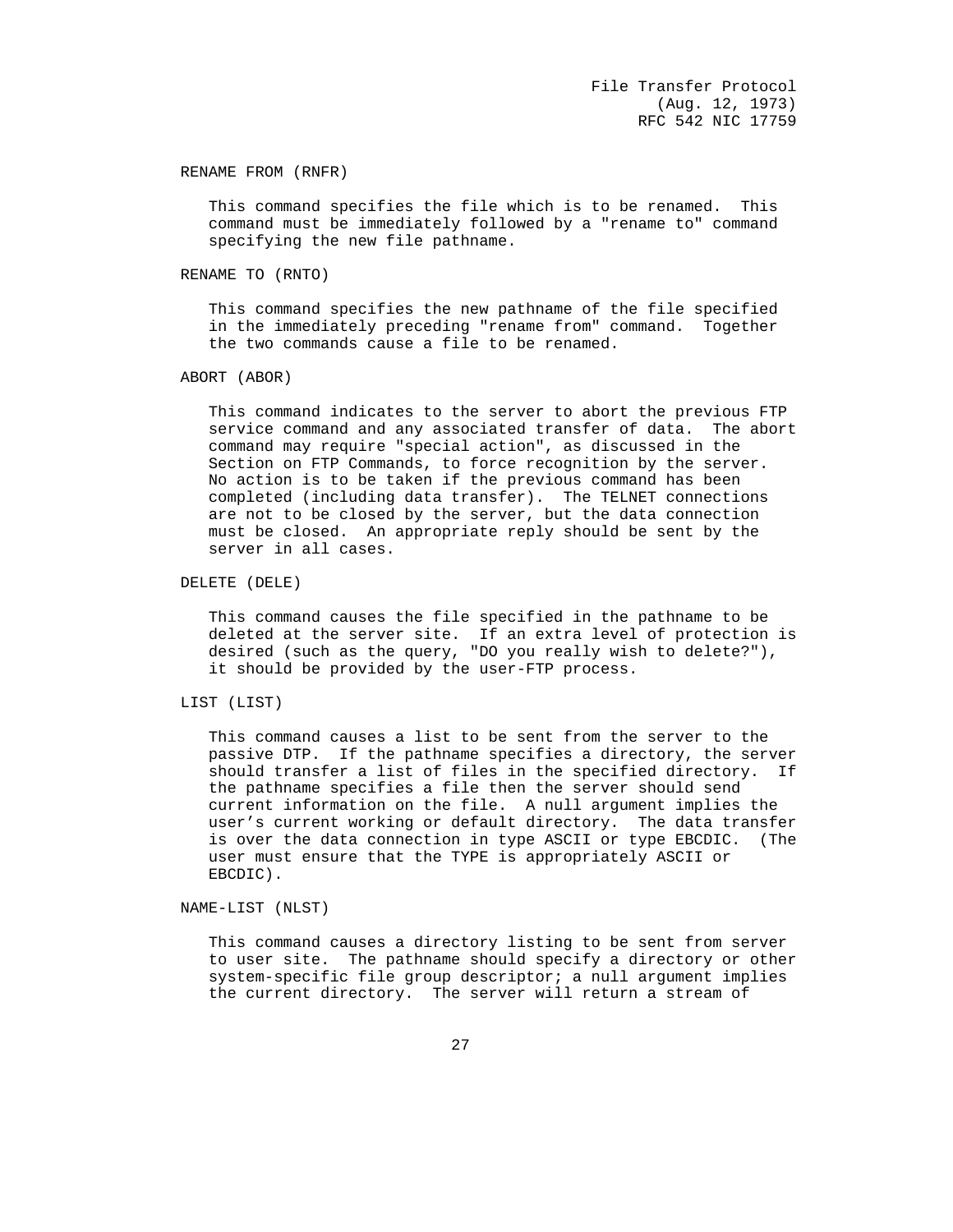RENAME FROM (RNFR)

 This command specifies the file which is to be renamed. This command must be immediately followed by a "rename to" command specifying the new file pathname.

RENAME TO (RNTO)

 This command specifies the new pathname of the file specified in the immediately preceding "rename from" command. Together the two commands cause a file to be renamed.

ABORT (ABOR)

 This command indicates to the server to abort the previous FTP service command and any associated transfer of data. The abort command may require "special action", as discussed in the Section on FTP Commands, to force recognition by the server. No action is to be taken if the previous command has been completed (including data transfer). The TELNET connections are not to be closed by the server, but the data connection must be closed. An appropriate reply should be sent by the server in all cases.

DELETE (DELE)

 This command causes the file specified in the pathname to be deleted at the server site. If an extra level of protection is desired (such as the query, "DO you really wish to delete?"), it should be provided by the user-FTP process.

LIST (LIST)

 This command causes a list to be sent from the server to the passive DTP. If the pathname specifies a directory, the server should transfer a list of files in the specified directory. If the pathname specifies a file then the server should send current information on the file. A null argument implies the user's current working or default directory. The data transfer is over the data connection in type ASCII or type EBCDIC. (The user must ensure that the TYPE is appropriately ASCII or EBCDIC).

NAME-LIST (NLST)

 This command causes a directory listing to be sent from server to user site. The pathname should specify a directory or other system-specific file group descriptor; a null argument implies the current directory. The server will return a stream of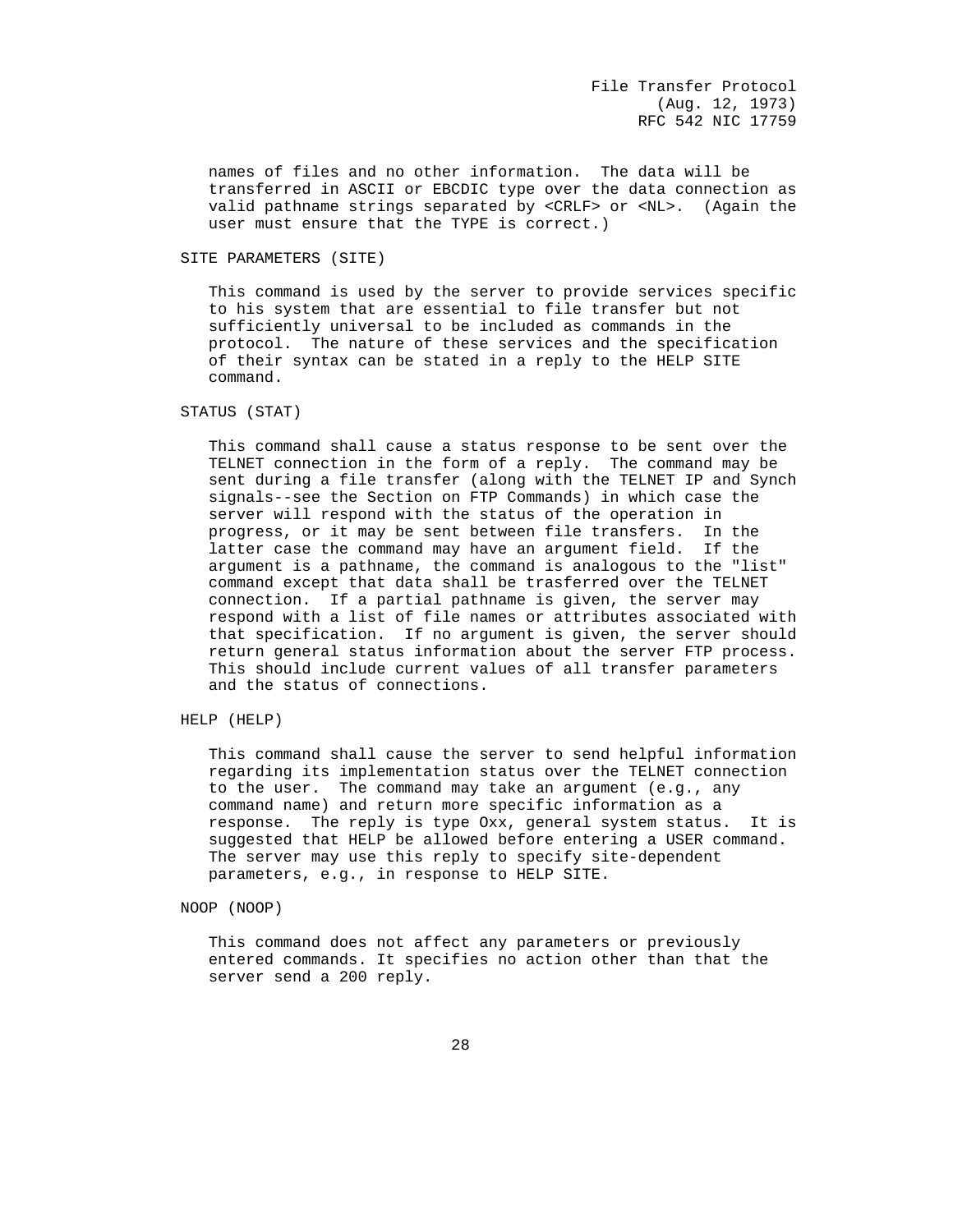names of files and no other information. The data will be transferred in ASCII or EBCDIC type over the data connection as valid pathname strings separated by <CRLF> or <NL>. (Again the user must ensure that the TYPE is correct.)

### SITE PARAMETERS (SITE)

 This command is used by the server to provide services specific to his system that are essential to file transfer but not sufficiently universal to be included as commands in the protocol. The nature of these services and the specification of their syntax can be stated in a reply to the HELP SITE command.

### STATUS (STAT)

 This command shall cause a status response to be sent over the TELNET connection in the form of a reply. The command may be sent during a file transfer (along with the TELNET IP and Synch signals--see the Section on FTP Commands) in which case the server will respond with the status of the operation in progress, or it may be sent between file transfers. In the latter case the command may have an argument field. If the argument is a pathname, the command is analogous to the "list" command except that data shall be trasferred over the TELNET connection. If a partial pathname is given, the server may respond with a list of file names or attributes associated with that specification. If no argument is given, the server should return general status information about the server FTP process. This should include current values of all transfer parameters and the status of connections.

## HELP (HELP)

 This command shall cause the server to send helpful information regarding its implementation status over the TELNET connection to the user. The command may take an argument (e.g., any command name) and return more specific information as a response. The reply is type Oxx, general system status. It is suggested that HELP be allowed before entering a USER command. The server may use this reply to specify site-dependent parameters, e.g., in response to HELP SITE.

#### NOOP (NOOP)

 This command does not affect any parameters or previously entered commands. It specifies no action other than that the server send a 200 reply.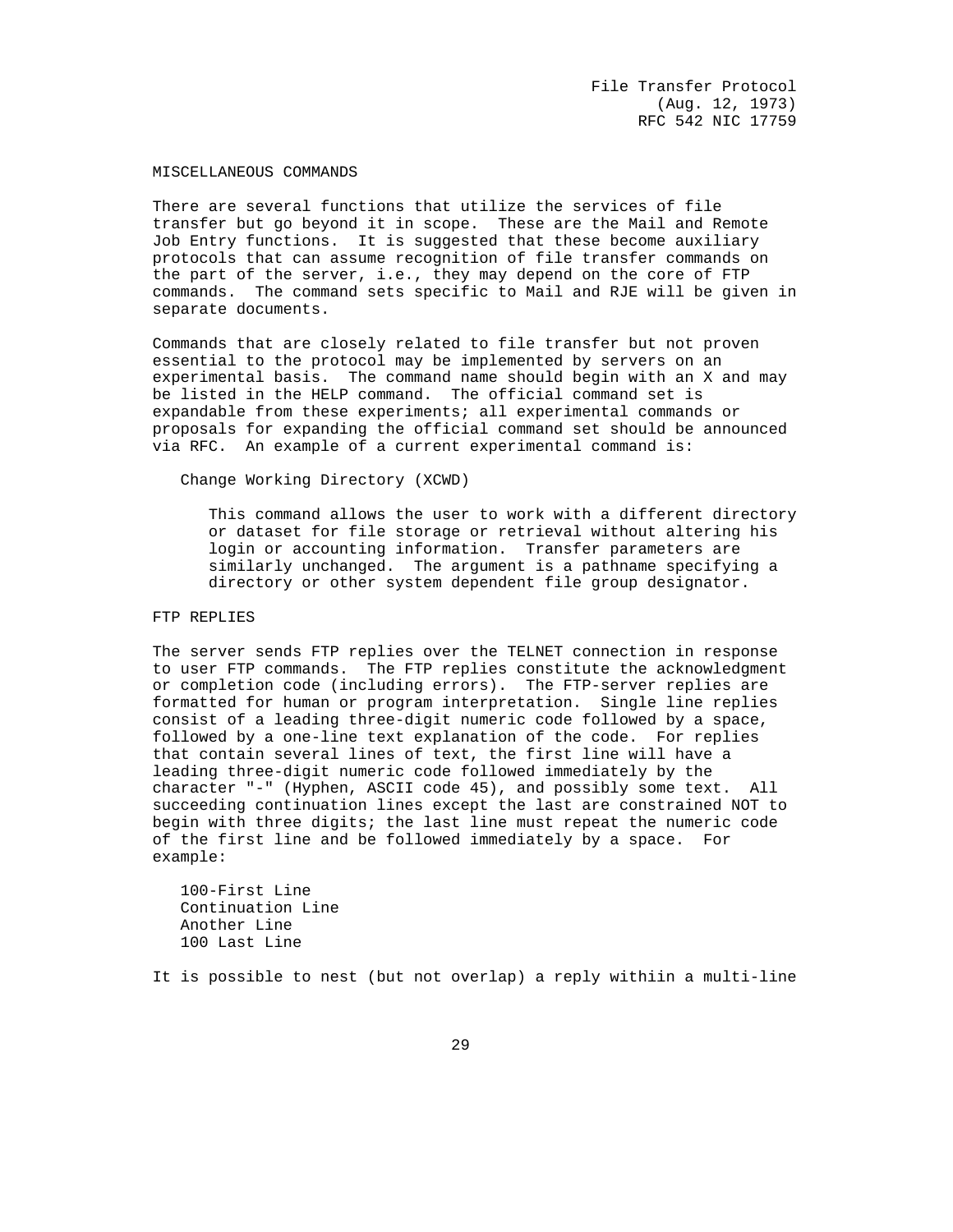### MISCELLANEOUS COMMANDS

 There are several functions that utilize the services of file transfer but go beyond it in scope. These are the Mail and Remote Job Entry functions. It is suggested that these become auxiliary protocols that can assume recognition of file transfer commands on the part of the server, i.e., they may depend on the core of FTP commands. The command sets specific to Mail and RJE will be given in separate documents.

 Commands that are closely related to file transfer but not proven essential to the protocol may be implemented by servers on an experimental basis. The command name should begin with an X and may be listed in the HELP command. The official command set is expandable from these experiments; all experimental commands or proposals for expanding the official command set should be announced via RFC. An example of a current experimental command is:

Change Working Directory (XCWD)

 This command allows the user to work with a different directory or dataset for file storage or retrieval without altering his login or accounting information. Transfer parameters are similarly unchanged. The argument is a pathname specifying a directory or other system dependent file group designator.

### FTP REPLIES

 The server sends FTP replies over the TELNET connection in response to user FTP commands. The FTP replies constitute the acknowledgment or completion code (including errors). The FTP-server replies are formatted for human or program interpretation. Single line replies consist of a leading three-digit numeric code followed by a space, followed by a one-line text explanation of the code. For replies that contain several lines of text, the first line will have a leading three-digit numeric code followed immediately by the character "-" (Hyphen, ASCII code 45), and possibly some text. All succeeding continuation lines except the last are constrained NOT to begin with three digits; the last line must repeat the numeric code of the first line and be followed immediately by a space. For example:

 100-First Line Continuation Line Another Line 100 Last Line

It is possible to nest (but not overlap) a reply withiin a multi-line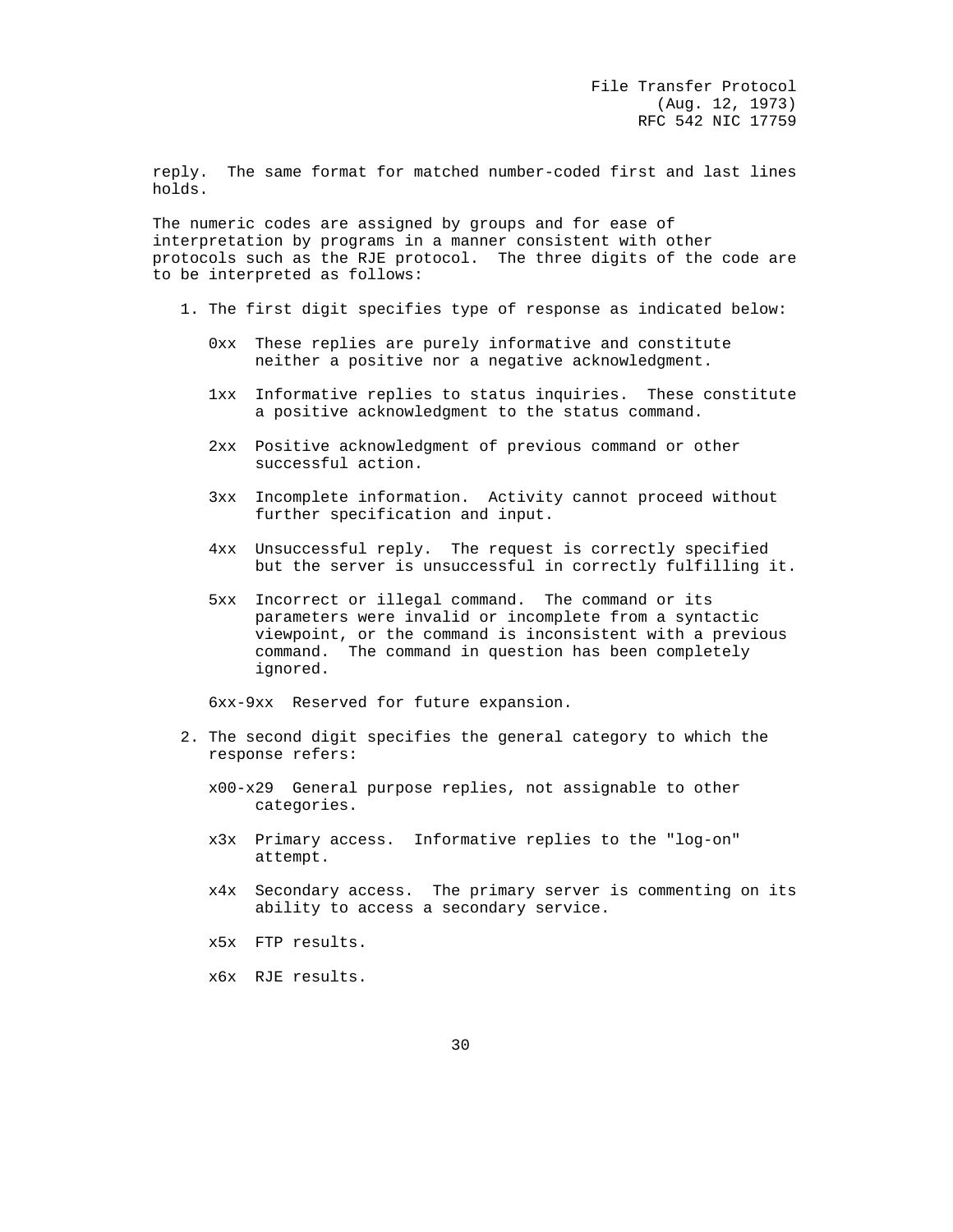reply. The same format for matched number-coded first and last lines holds.

 The numeric codes are assigned by groups and for ease of interpretation by programs in a manner consistent with other protocols such as the RJE protocol. The three digits of the code are to be interpreted as follows:

- 1. The first digit specifies type of response as indicated below:
	- 0xx These replies are purely informative and constitute neither a positive nor a negative acknowledgment.
	- 1xx Informative replies to status inquiries. These constitute a positive acknowledgment to the status command.
	- 2xx Positive acknowledgment of previous command or other successful action.
	- 3xx Incomplete information. Activity cannot proceed without further specification and input.
	- 4xx Unsuccessful reply. The request is correctly specified but the server is unsuccessful in correctly fulfilling it.
	- 5xx Incorrect or illegal command. The command or its parameters were invalid or incomplete from a syntactic viewpoint, or the command is inconsistent with a previous command. The command in question has been completely ignored.

6xx-9xx Reserved for future expansion.

- 2. The second digit specifies the general category to which the response refers:
	- x00-x29 General purpose replies, not assignable to other categories.
	- x3x Primary access. Informative replies to the "log-on" attempt.
	- x4x Secondary access. The primary server is commenting on its ability to access a secondary service.
	- x5x FTP results.
	- x6x RJE results.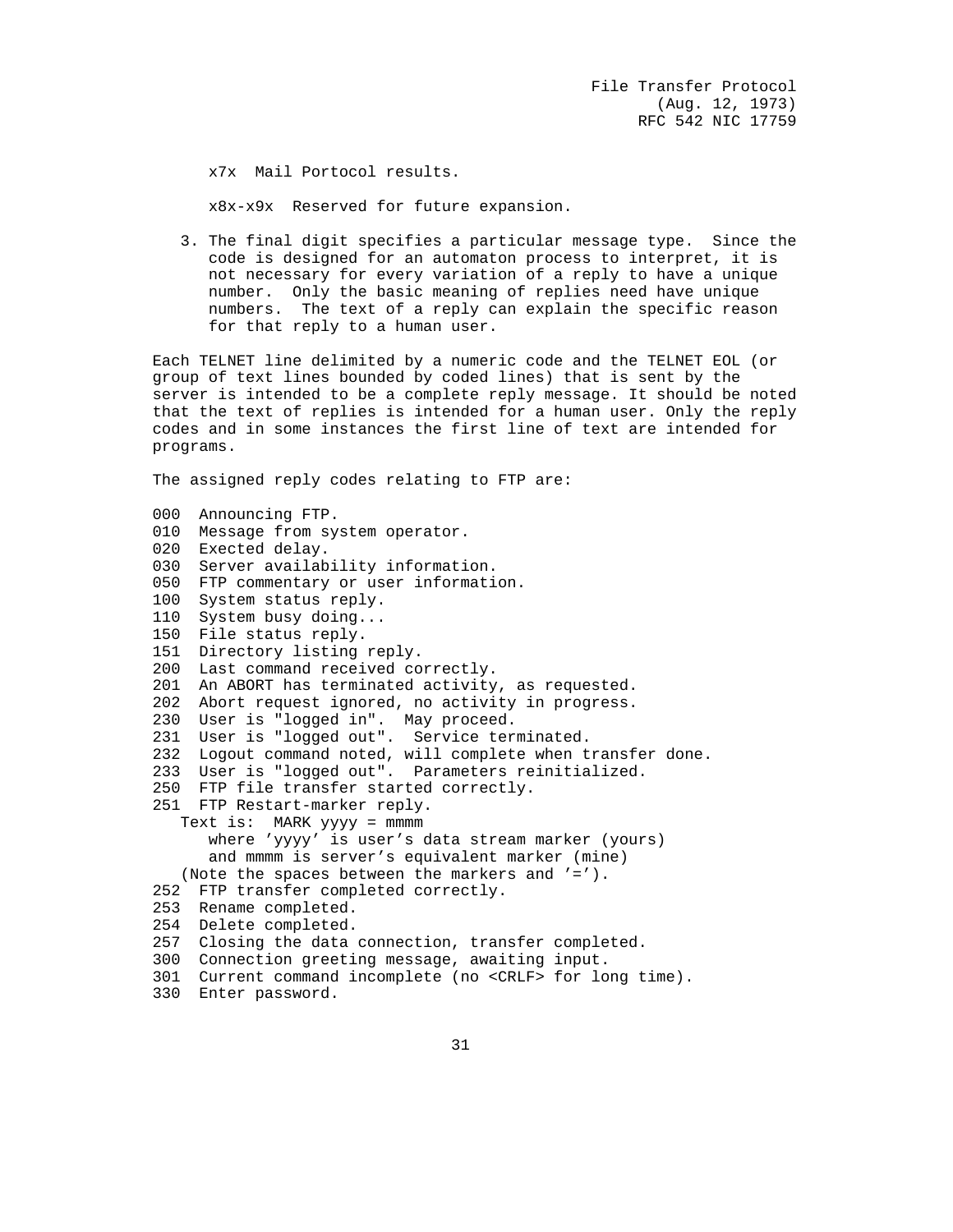x7x Mail Portocol results.

x8x-x9x Reserved for future expansion.

 3. The final digit specifies a particular message type. Since the code is designed for an automaton process to interpret, it is not necessary for every variation of a reply to have a unique number. Only the basic meaning of replies need have unique numbers. The text of a reply can explain the specific reason for that reply to a human user.

 Each TELNET line delimited by a numeric code and the TELNET EOL (or group of text lines bounded by coded lines) that is sent by the server is intended to be a complete reply message. It should be noted that the text of replies is intended for a human user. Only the reply codes and in some instances the first line of text are intended for programs.

The assigned reply codes relating to FTP are:

```
 000 Announcing FTP.
 010 Message from system operator.
 020 Exected delay.
030 Server availability information.
 050 FTP commentary or user information.
 100 System status reply.
 110 System busy doing...
 150 File status reply.
 151 Directory listing reply.
 200 Last command received correctly.
 201 An ABORT has terminated activity, as requested.
 202 Abort request ignored, no activity in progress.
 230 User is "logged in". May proceed.
 231 User is "logged out". Service terminated.
 232 Logout command noted, will complete when transfer done.
 233 User is "logged out". Parameters reinitialized.
 250 FTP file transfer started correctly.
 251 FTP Restart-marker reply.
   Text is: MARK yyyy = mmmm
      where 'yyyy' is user's data stream marker (yours)
      and mmmm is server's equivalent marker (mine)
    (Note the spaces between the markers and '=').
 252 FTP transfer completed correctly.
 253 Rename completed.
 254 Delete completed.
 257 Closing the data connection, transfer completed.
 300 Connection greeting message, awaiting input.
 301 Current command incomplete (no <CRLF> for long time).
 330 Enter password.
```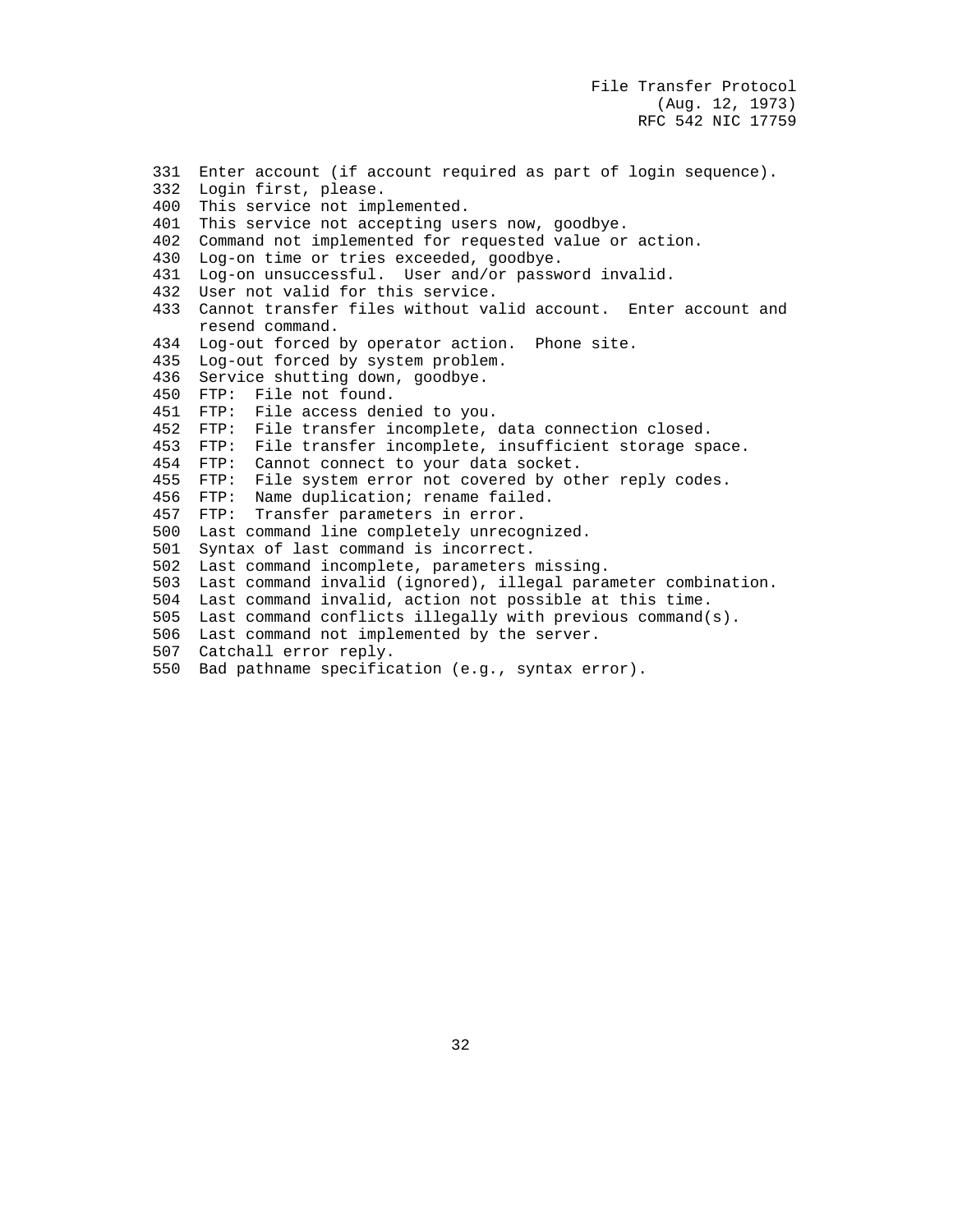331 Enter account (if account required as part of login sequence). 332 Login first, please. 400 This service not implemented. 401 This service not accepting users now, goodbye. 402 Command not implemented for requested value or action. 430 Log-on time or tries exceeded, goodbye. 431 Log-on unsuccessful. User and/or password invalid. 432 User not valid for this service. 433 Cannot transfer files without valid account. Enter account and resend command. 434 Log-out forced by operator action. Phone site. 435 Log-out forced by system problem. 436 Service shutting down, goodbye. 450 FTP: File not found. 451 FTP: File access denied to you. 452 FTP: File transfer incomplete, data connection closed. 453 FTP: File transfer incomplete, insufficient storage space. 454 FTP: Cannot connect to your data socket. 455 FTP: File system error not covered by other reply codes. 456 FTP: Name duplication; rename failed. 457 FTP: Transfer parameters in error. 500 Last command line completely unrecognized. 501 Syntax of last command is incorrect. 502 Last command incomplete, parameters missing. 503 Last command invalid (ignored), illegal parameter combination. 504 Last command invalid, action not possible at this time. 505 Last command conflicts illegally with previous command(s). 506 Last command not implemented by the server. 507 Catchall error reply. 550 Bad pathname specification (e.g., syntax error).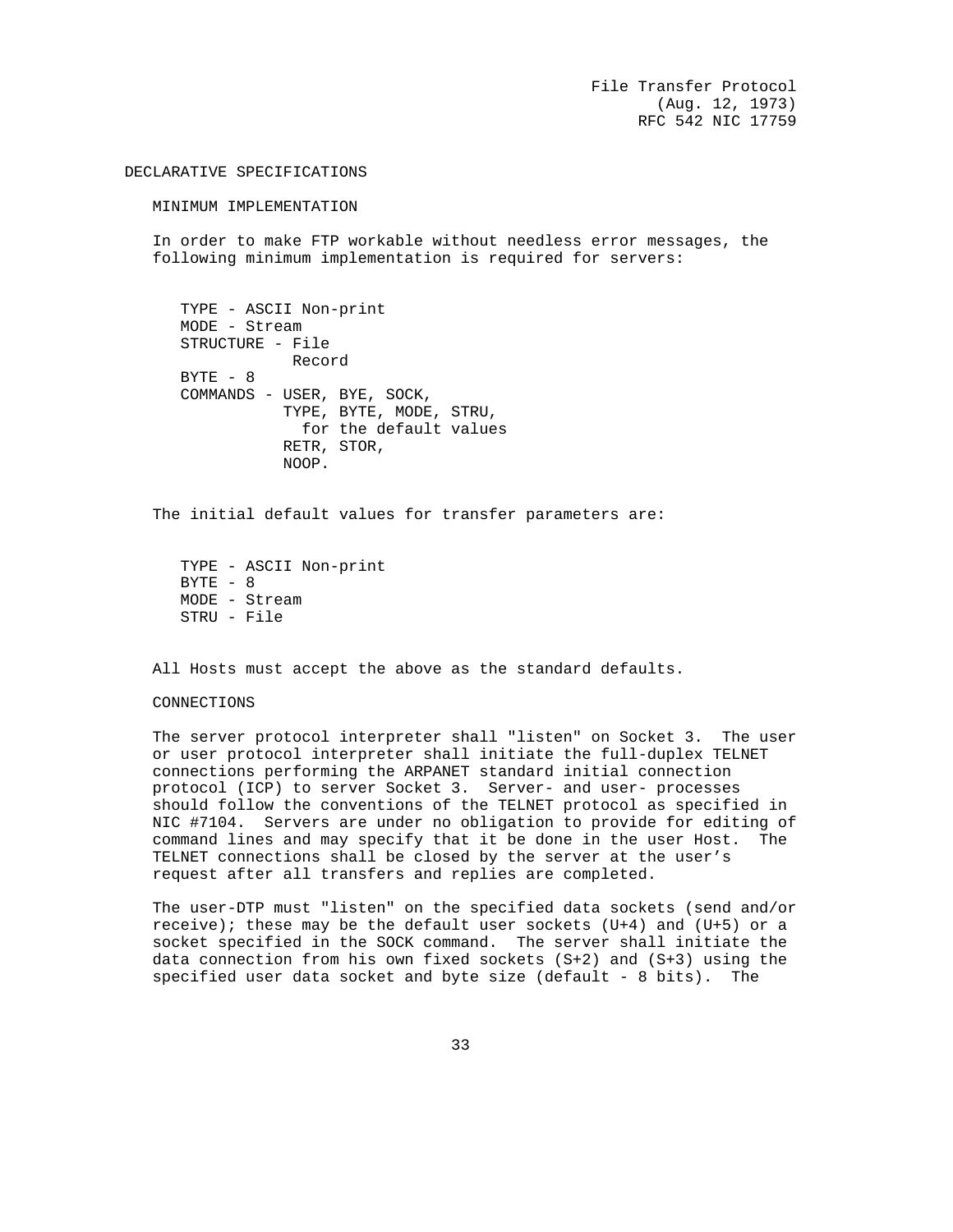#### DECLARATIVE SPECIFICATIONS

MINIMUM IMPLEMENTATION

 In order to make FTP workable without needless error messages, the following minimum implementation is required for servers:

```
 TYPE - ASCII Non-print
 MODE - Stream
 STRUCTURE - File
             Record
BYTE - 8 COMMANDS - USER, BYE, SOCK,
            TYPE, BYTE, MODE, STRU,
              for the default values
            RETR, STOR,
            NOOP.
```
The initial default values for transfer parameters are:

 TYPE - ASCII Non-print  $BYTE - 8$  MODE - Stream STRU - File

All Hosts must accept the above as the standard defaults.

## CONNECTIONS

 The server protocol interpreter shall "listen" on Socket 3. The user or user protocol interpreter shall initiate the full-duplex TELNET connections performing the ARPANET standard initial connection protocol (ICP) to server Socket 3. Server- and user- processes should follow the conventions of the TELNET protocol as specified in NIC #7104. Servers are under no obligation to provide for editing of command lines and may specify that it be done in the user Host. The command lines and may specify that it be done in the user Host. TELNET connections shall be closed by the server at the user's request after all transfers and replies are completed.

 The user-DTP must "listen" on the specified data sockets (send and/or receive); these may be the default user sockets  $(U+4)$  and  $(U+5)$  or a socket specified in the SOCK command. The server shall initiate the data connection from his own fixed sockets (S+2) and (S+3) using the specified user data socket and byte size (default - 8 bits). The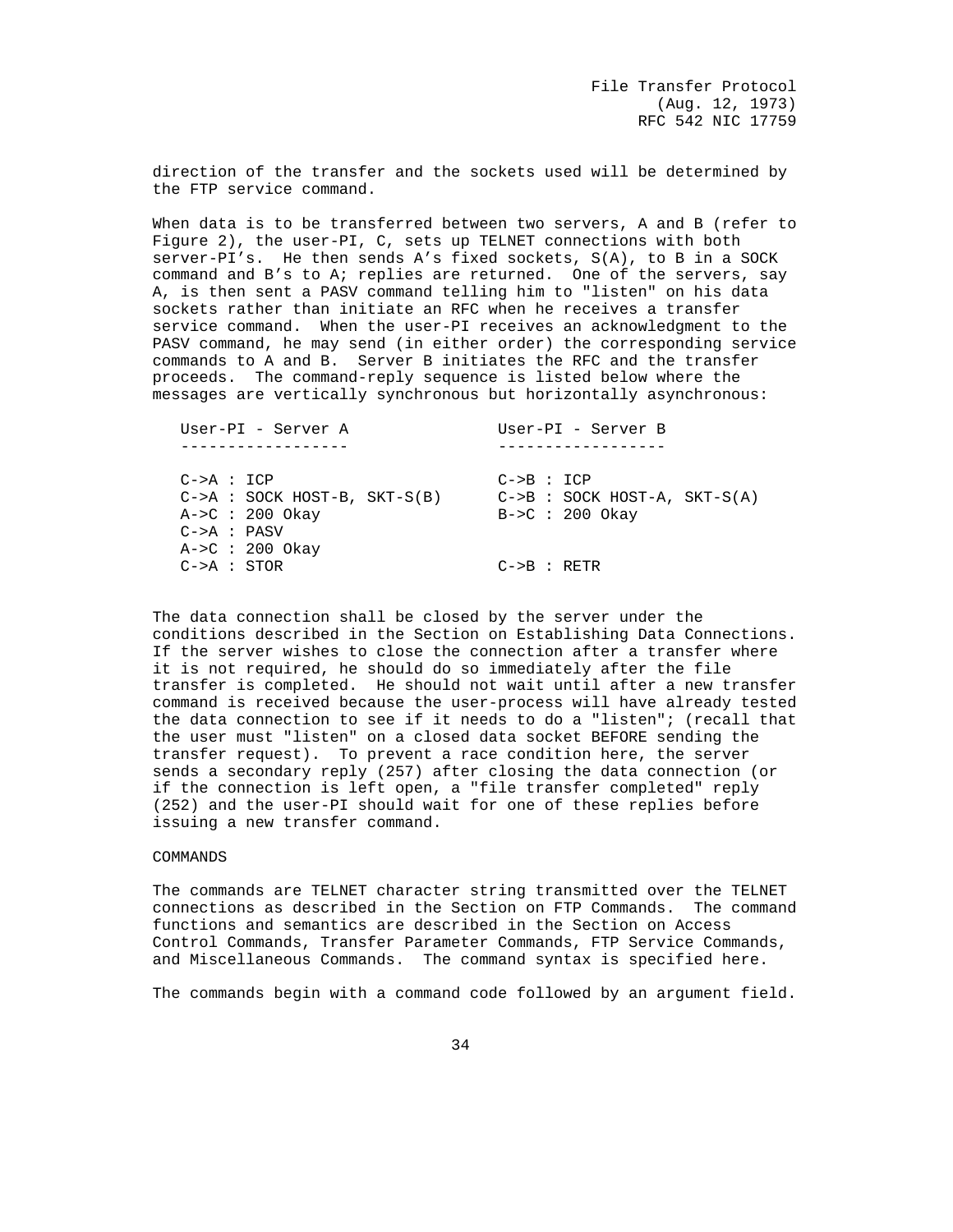direction of the transfer and the sockets used will be determined by the FTP service command.

 When data is to be transferred between two servers, A and B (refer to Figure 2), the user-PI, C, sets up TELNET connections with both server-PI's. He then sends A's fixed sockets, S(A), to B in a SOCK command and B's to A; replies are returned. One of the servers, say A, is then sent a PASV command telling him to "listen" on his data sockets rather than initiate an RFC when he receives a transfer service command. When the user-PI receives an acknowledgment to the PASV command, he may send (in either order) the corresponding service commands to A and B. Server B initiates the RFC and the transfer proceeds. The command-reply sequence is listed below where the messages are vertically synchronous but horizontally asynchronous:

| User-PI - Server A |                                | User-PI - Server B |                                |  |  |
|--------------------|--------------------------------|--------------------|--------------------------------|--|--|
|                    |                                |                    |                                |  |  |
| $C->A$ : ICP       |                                | $C->B$ : ICP       |                                |  |  |
|                    | $C->A$ : SOCK HOST-B, SKT-S(B) |                    | $C->B$ : SOCK HOST-A, SKT-S(A) |  |  |
|                    | $A->C$ : 200 Okay              |                    | $B->C$ : 200 Okay              |  |  |
| $C->A$ : PASV      |                                |                    |                                |  |  |
|                    | $A->C$ : 200 Okay              |                    |                                |  |  |
| $C->A$ : STOR      |                                | $C->B$ : RETR      |                                |  |  |

 The data connection shall be closed by the server under the conditions described in the Section on Establishing Data Connections. If the server wishes to close the connection after a transfer where it is not required, he should do so immediately after the file transfer is completed. He should not wait until after a new transfer command is received because the user-process will have already tested the data connection to see if it needs to do a "listen"; (recall that the user must "listen" on a closed data socket BEFORE sending the transfer request). To prevent a race condition here, the server sends a secondary reply (257) after closing the data connection (or if the connection is left open, a "file transfer completed" reply (252) and the user-PI should wait for one of these replies before issuing a new transfer command.

#### COMMANDS

 The commands are TELNET character string transmitted over the TELNET connections as described in the Section on FTP Commands. The command functions and semantics are described in the Section on Access Control Commands, Transfer Parameter Commands, FTP Service Commands, and Miscellaneous Commands. The command syntax is specified here.

The commands begin with a command code followed by an argument field.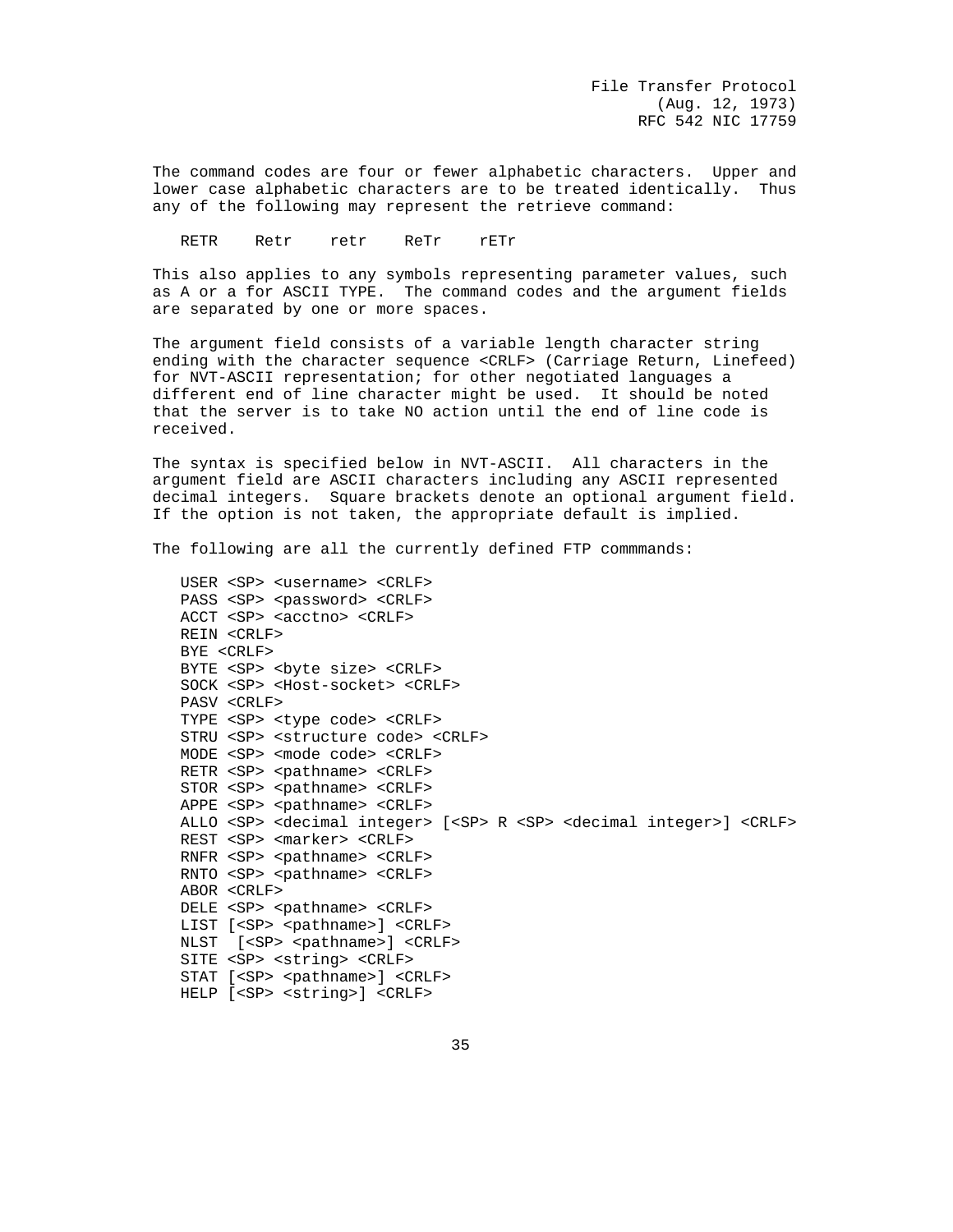The command codes are four or fewer alphabetic characters. Upper and lower case alphabetic characters are to be treated identically. Thus any of the following may represent the retrieve command:

RETR Retr retr ReTr rETr

 This also applies to any symbols representing parameter values, such as A or a for ASCII TYPE. The command codes and the argument fields are separated by one or more spaces.

 The argument field consists of a variable length character string ending with the character sequence <CRLF> (Carriage Return, Linefeed) for NVT-ASCII representation; for other negotiated languages a different end of line character might be used. It should be noted that the server is to take NO action until the end of line code is received.

 The syntax is specified below in NVT-ASCII. All characters in the argument field are ASCII characters including any ASCII represented decimal integers. Square brackets denote an optional argument field. If the option is not taken, the appropriate default is implied.

The following are all the currently defined FTP commmands:

```
 USER <SP> <username> <CRLF>
PASS <SP> <password> <CRLF>
 ACCT <SP> <acctno> <CRLF>
 REIN <CRLF>
 BYE <CRLF>
 BYTE <SP> <byte size> <CRLF>
 SOCK <SP> <Host-socket> <CRLF>
 PASV <CRLF>
TYPE <SP> <type code> <CRLF>
STRU <SP> <structure code> <CRLF>
 MODE <SP> <mode code> <CRLF>
RETR <SP> <pathname> <CRLF>
STOR <SP> <pathname> <CRLF>
APPE <SP> <pathname> <CRLF>
 ALLO <SP> <decimal integer> [<SP> R <SP> <decimal integer>] <CRLF>
 REST <SP> <marker> <CRLF>
RNFR <SP> <pathname> <CRLF>
RNTO <SP> <pathname> <CRLF>
 ABOR <CRLF>
DELE <SP> <pathname> <CRLF>
LIST [<SP> <pathname>] <CRLF>
NLST [<SP> <pathname>] <CRLF>
SITE <SP> <string> <CRLF>
STAT [<SP> <pathname>] <CRLF>
 HELP [<SP> <string>] <CRLF>
```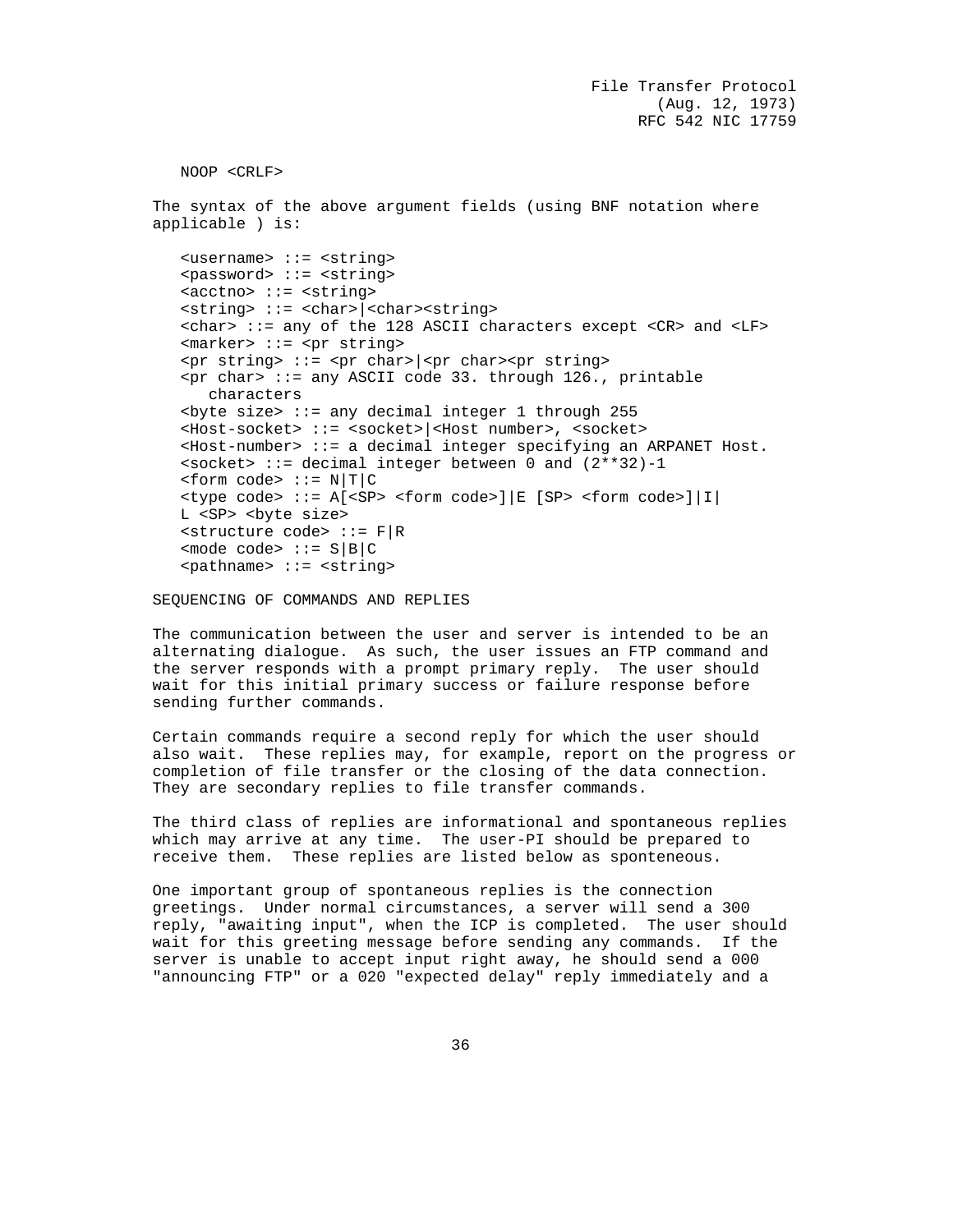```
 NOOP <CRLF>
```
 The syntax of the above argument fields (using BNF notation where applicable ) is:

```
 <username> ::= <string>
 <password> ::= <string>
 <acctno> ::= <string>
 <string> ::= <char>|<char><string>
 <char> ::= any of the 128 ASCII characters except <CR> and <LF>
 <marker> ::= <pr string>
<pr string> ::= <pr char>|<pr char><pr string>
 <pr char> ::= any ASCII code 33. through 126., printable
   characters
\square size> ::= any decimal integer 1 through 255
 <Host-socket> ::= <socket>|<Host number>, <socket>
-Host-number ::= a decimal integer specifying an ARPANET Host.
\text{2**32}-1\timesform code> ::= N|T|C
 <type code> ::= A[<SP> <form code>]|E [SP> <form code>]|I|
L <SP> <br/> <br/> <br/> <br/>size>
\text{structure code} > :: F \mid R<mode code> ::= S|B|C <pathname> ::= <string>
```
SEQUENCING OF COMMANDS AND REPLIES

 The communication between the user and server is intended to be an alternating dialogue. As such, the user issues an FTP command and the server responds with a prompt primary reply. The user should wait for this initial primary success or failure response before sending further commands.

 Certain commands require a second reply for which the user should also wait. These replies may, for example, report on the progress or completion of file transfer or the closing of the data connection. They are secondary replies to file transfer commands.

 The third class of replies are informational and spontaneous replies which may arrive at any time. The user-PI should be prepared to receive them. These replies are listed below as sponteneous.

 One important group of spontaneous replies is the connection greetings. Under normal circumstances, a server will send a 300 reply, "awaiting input", when the ICP is completed. The user should wait for this greeting message before sending any commands. If the server is unable to accept input right away, he should send a 000 "announcing FTP" or a 020 "expected delay" reply immediately and a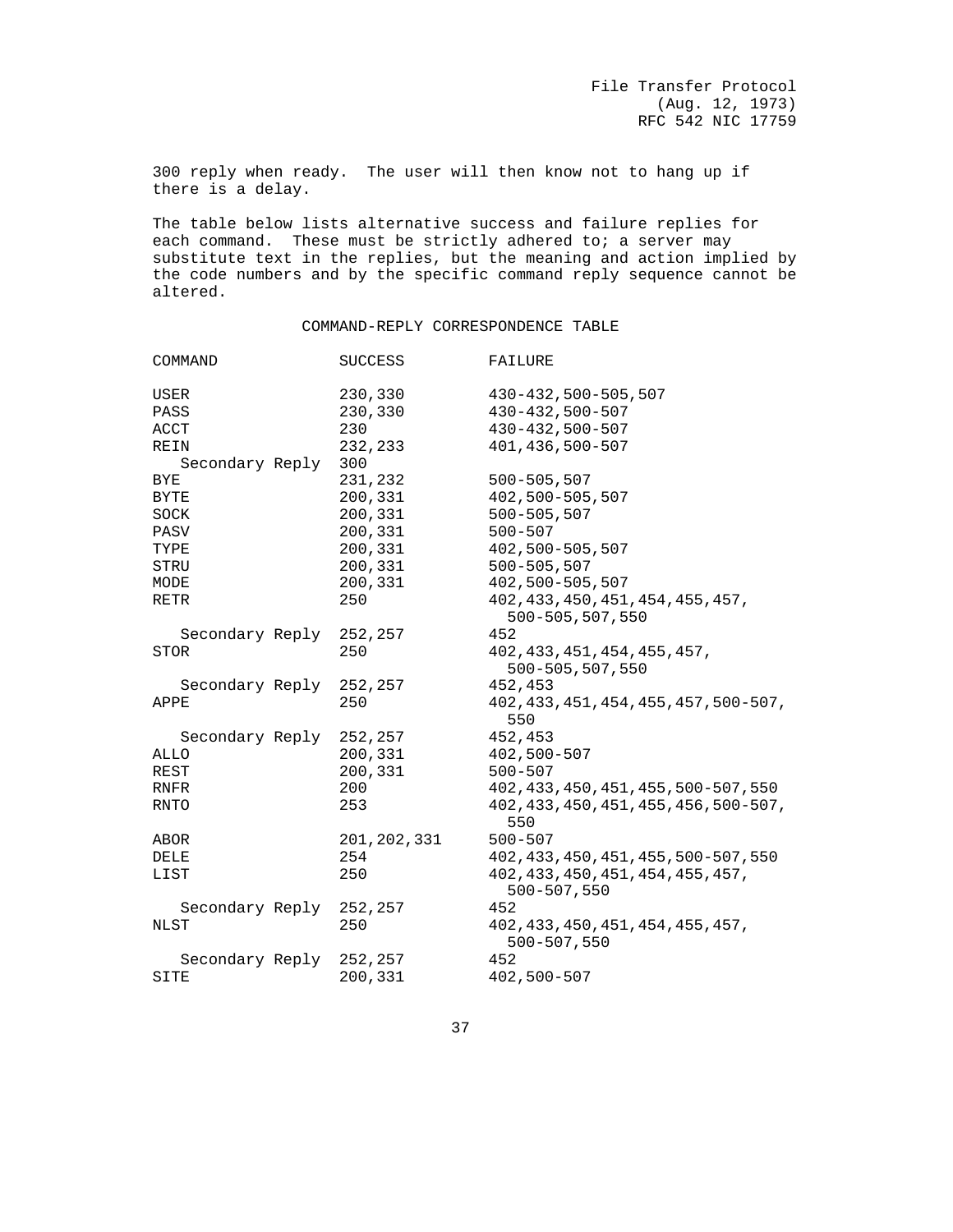300 reply when ready. The user will then know not to hang up if there is a delay.

 The table below lists alternative success and failure replies for each command. These must be strictly adhered to; a server may substitute text in the replies, but the meaning and action implied by the code numbers and by the specific command reply sequence cannot be altered.

# COMMAND-REPLY CORRESPONDENCE TABLE

| COMMAND         | <b>SUCCESS</b> | FAILURE                                                |
|-----------------|----------------|--------------------------------------------------------|
| USER            | 230,330        | 430-432,500-505,507                                    |
| PASS            | 230,330        | 430-432,500-507                                        |
| <b>ACCT</b>     | 230            | 430-432,500-507                                        |
| REIN            | 232,233        | 401, 436, 500-507                                      |
| Secondary Reply | 300            |                                                        |
| <b>BYE</b>      | 231,232        | $500 - 505, 507$                                       |
| <b>BYTE</b>     | 200,331        | 402,500-505,507                                        |
| <b>SOCK</b>     | 200,331        | $500 - 505, 507$                                       |
| PASV            | 200,331        | $500 - 507$                                            |
| TYPE            | 200,331        | 402,500-505,507                                        |
| STRU            | 200,331        | $500 - 505, 507$                                       |
| MODE            | 200,331        | 402,500-505,507                                        |
| <b>RETR</b>     | 250            | 402, 433, 450, 451, 454, 455, 457,                     |
|                 |                | 500-505,507,550                                        |
| Secondary Reply | 252,257        | 452                                                    |
| <b>STOR</b>     | 250            | 402, 433, 451, 454, 455, 457,                          |
|                 |                | 500-505,507,550                                        |
| Secondary Reply | 252,257        | 452,453                                                |
| APPE            | 250            | 402, 433, 451, 454, 455, 457, 500-507,                 |
|                 |                | 550                                                    |
| Secondary Reply | 252,257        | 452,453                                                |
| <b>ALLO</b>     | 200,331        | 402,500-507                                            |
| REST            | 200,331        | $500 - 507$                                            |
| RNFR            | 200            | 402, 433, 450, 451, 455, 500-507, 550                  |
| RNTO            | 253            | 402, 433, 450, 451, 455, 456, 500-507,                 |
|                 |                | 550                                                    |
| ABOR            | 201, 202, 331  | $500 - 507$                                            |
| DELE            | 254            | 402, 433, 450, 451, 455, 500-507, 550                  |
| LIST            | 250            | 402, 433, 450, 451, 454, 455, 457,<br>$500 - 507, 550$ |
| Secondary Reply | 252,257        | 452                                                    |
| <b>NLST</b>     | 250            | 402, 433, 450, 451, 454, 455, 457,<br>$500 - 507, 550$ |
| Secondary Reply | 252,257        | 452                                                    |
| SITE            | 200,331        | $402,500 - 507$                                        |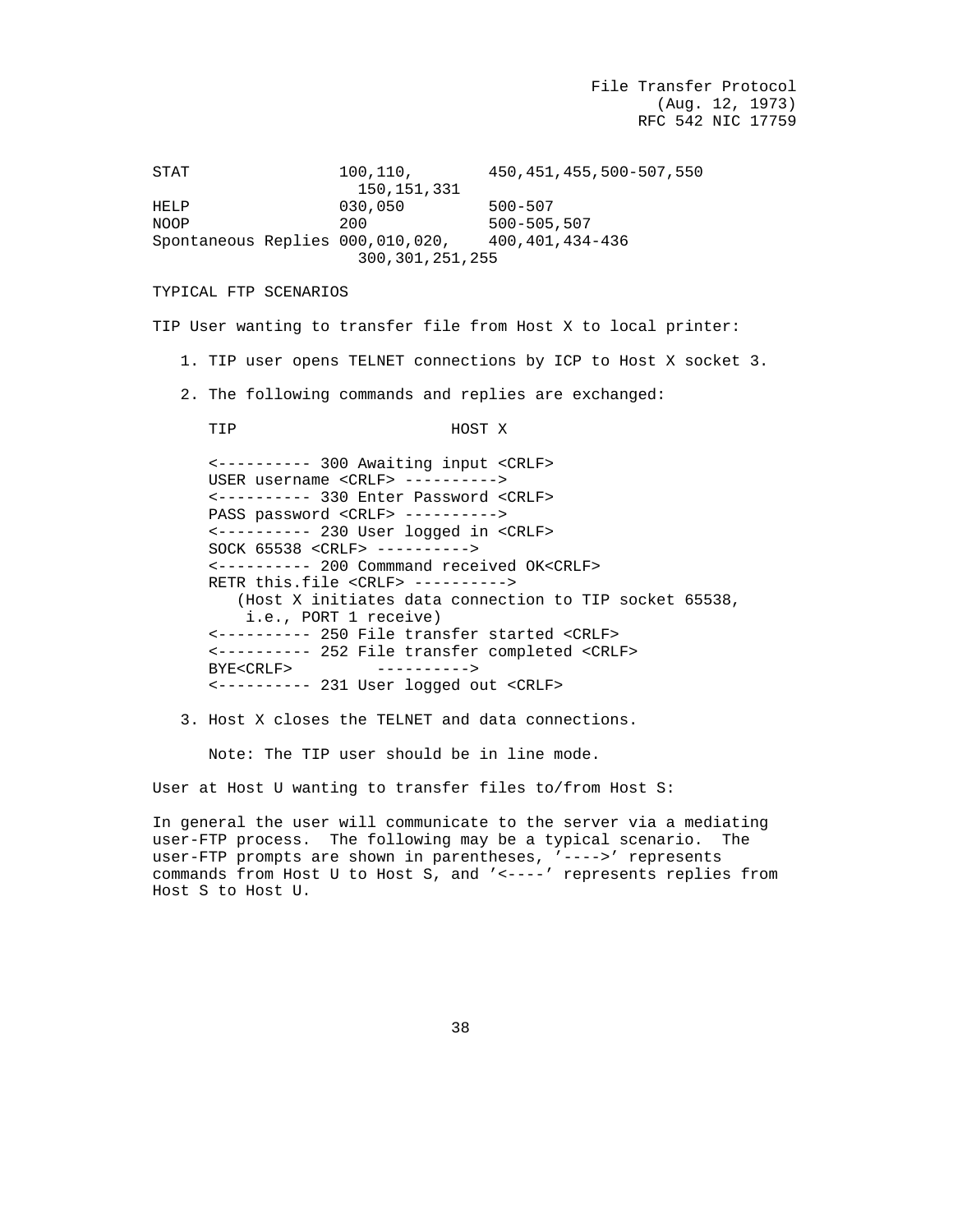STAT 100,110, 450,451,455,500-507,550 150,151,331<br>HELP 030.050 030,050 500-507 NOOP 200 500-505,507 Spontaneous Replies 000,010,020, 400,401,434-436 300,301,251,255

## TYPICAL FTP SCENARIOS

TIP User wanting to transfer file from Host X to local printer:

1. TIP user opens TELNET connections by ICP to Host X socket 3.

2. The following commands and replies are exchanged:

TIP HOST X

 <---------- 300 Awaiting input <CRLF> USER username <CRLF> ----------> <---------- 330 Enter Password <CRLF> PASS password <CRLF> ----------> <---------- 230 User logged in <CRLF> SOCK 65538 <CRLF> ----------> <---------- 200 Commmand received OK<CRLF> RETR this.file <CRLF> ----------> (Host X initiates data connection to TIP socket 65538, i.e., PORT 1 receive) <---------- 250 File transfer started <CRLF> <---------- 252 File transfer completed <CRLF> BYE<CRLF> ---------> <---------- 231 User logged out <CRLF>

3. Host X closes the TELNET and data connections.

Note: The TIP user should be in line mode.

User at Host U wanting to transfer files to/from Host S:

 In general the user will communicate to the server via a mediating user-FTP process. The following may be a typical scenario. The user-FTP prompts are shown in parentheses, '---->' represents commands from Host U to Host S, and '<----' represents replies from Host S to Host U.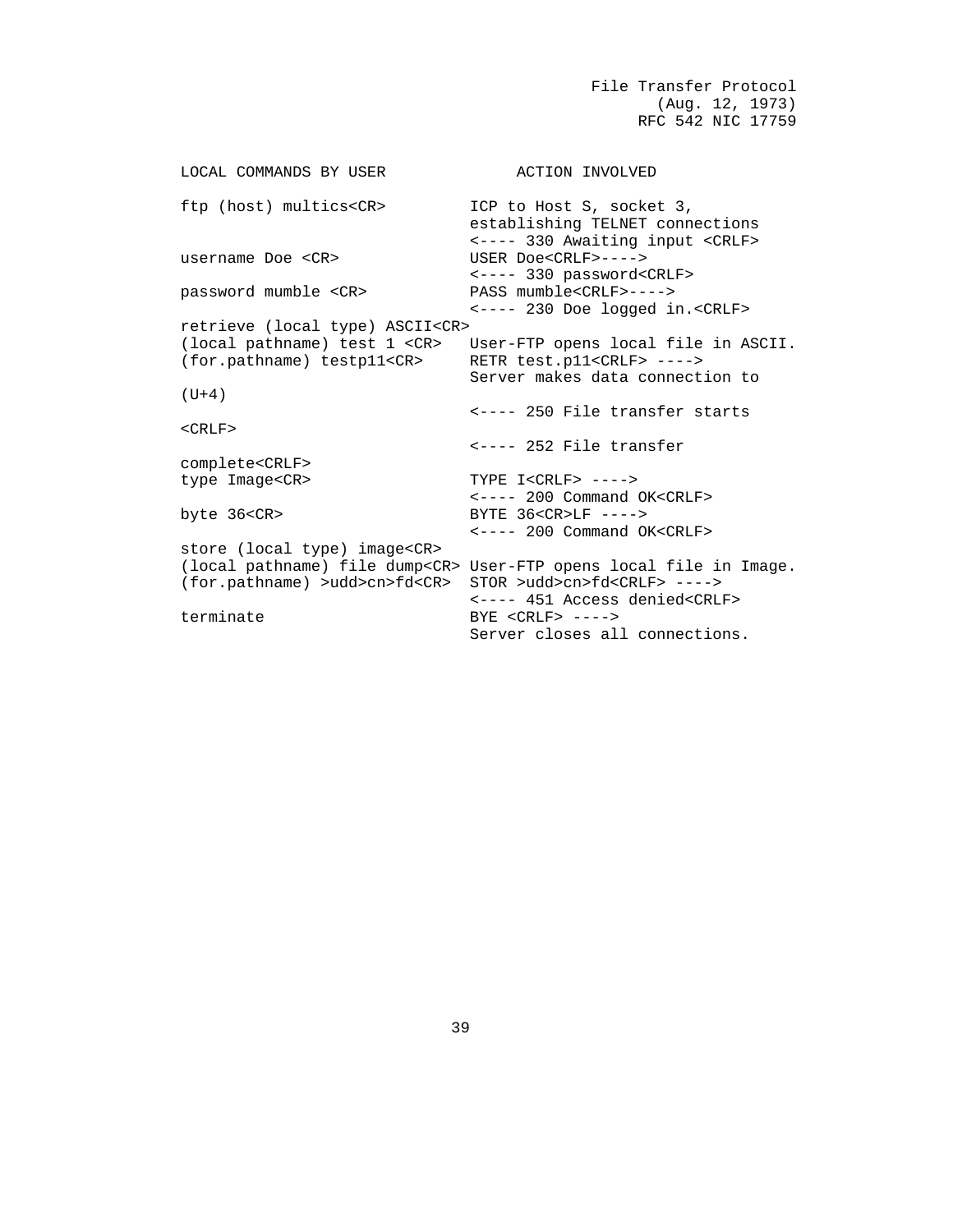LOCAL COMMANDS BY USER ACTION INVOLVED ftp (host) multics<CR> ICP to Host S, socket 3, establishing TELNET connections <---- 330 Awaiting input <CRLF> username Doe <CR> USER Doe<CRLF>----> <---- 330 password<CRLF> password mumble <CR> PASS mumble<CRLF>----> <---- 230 Doe logged in.<CRLF> retrieve (local type) ASCII<CR> (local pathname) test 1 <CR> User-FTP opens local file in ASCII. (for.pathname) testp11<CR> RETR test.p11<CRLF> ----> Server makes data connection to  $(U+4)$  <---- 250 File transfer starts <CRLF> <---- 252 File transfer complete<CRLF> type Image<CR> TYPE I<CRLF> ----> <---- 200 Command OK<CRLF> byte 36<CR> BYTE 36<CR>LF ----> <---- 200 Command OK<CRLF> store (local type) image<CR> (local pathname) file dump<CR> User-FTP opens local file in Image. (for.pathname) >udd>cn>fd<CR> STOR >udd>cn>fd<CRLF> ----> <---- 451 Access denied<CRLF> terminate BYE <CRLF> ----> Server closes all connections.